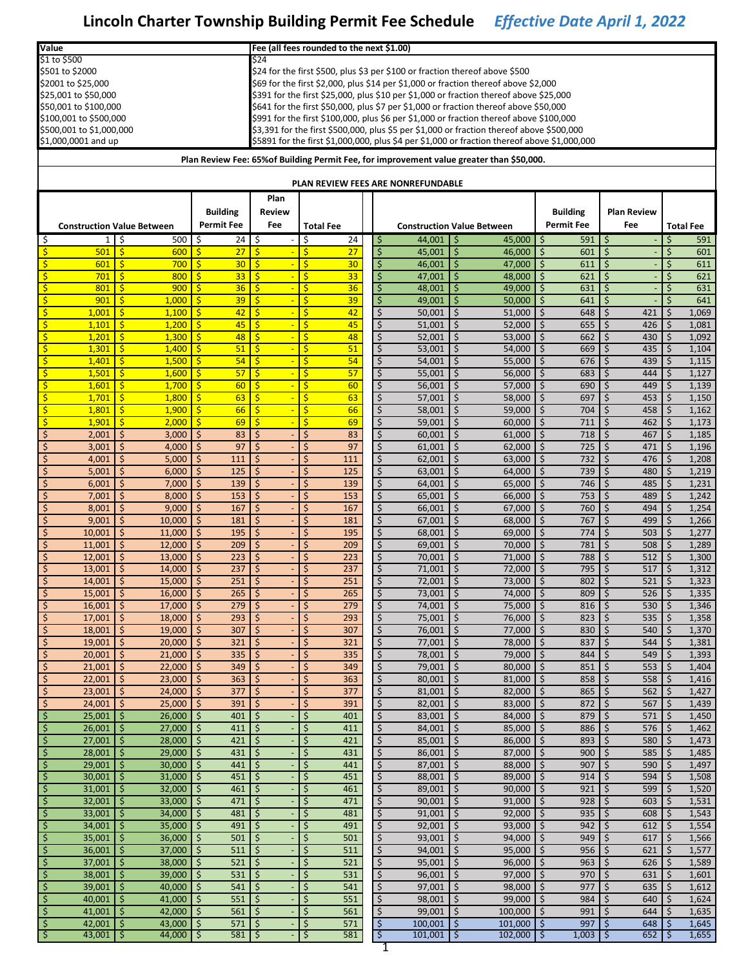| Value                   |                                   |               |                  |                     |                     |                                          |                         | Fee (all fees rounded to the next \$1.00) |                                                 |                                |                                                                                              |          |                   |          |                    |            |                  |
|-------------------------|-----------------------------------|---------------|------------------|---------------------|---------------------|------------------------------------------|-------------------------|-------------------------------------------|-------------------------------------------------|--------------------------------|----------------------------------------------------------------------------------------------|----------|-------------------|----------|--------------------|------------|------------------|
|                         | \$1 to \$500                      |               |                  |                     |                     | \$24                                     |                         |                                           |                                                 |                                |                                                                                              |          |                   |          |                    |            |                  |
|                         | \$501 to \$2000                   |               |                  |                     |                     |                                          |                         |                                           |                                                 |                                | \$24 for the first \$500, plus \$3 per \$100 or fraction thereof above \$500                 |          |                   |          |                    |            |                  |
|                         | \$2001 to \$25,000                |               |                  |                     |                     |                                          |                         |                                           |                                                 |                                | \$69 for the first \$2,000, plus \$14 per \$1,000 or fraction thereof above \$2,000          |          |                   |          |                    |            |                  |
|                         | \$25,001 to \$50,000              |               |                  |                     |                     |                                          |                         |                                           |                                                 |                                | \$391 for the first \$25,000, plus \$10 per \$1,000 or fraction thereof above \$25,000       |          |                   |          |                    |            |                  |
|                         | \$50,001 to \$100,000             |               |                  |                     |                     |                                          |                         |                                           |                                                 |                                | \$641 for the first \$50,000, plus \$7 per \$1,000 or fraction thereof above \$50,000        |          |                   |          |                    |            |                  |
|                         | \$100,001 to \$500,000            |               |                  |                     |                     |                                          |                         |                                           |                                                 |                                | \$991 for the first \$100,000, plus \$6 per \$1,000 or fraction thereof above \$100,000      |          |                   |          |                    |            |                  |
|                         | \$500,001 to \$1,000,000          |               |                  |                     |                     |                                          |                         |                                           |                                                 |                                | \$3,391 for the first \$500,000, plus \$5 per \$1,000 or fraction thereof above \$500,000    |          |                   |          |                    |            |                  |
|                         | \$1,000,0001 and up               |               |                  |                     |                     |                                          |                         |                                           |                                                 |                                | \$5891 for the first \$1,000,000, plus \$4 per \$1,000 or fraction thereof above \$1,000,000 |          |                   |          |                    |            |                  |
|                         |                                   |               |                  |                     |                     |                                          |                         |                                           |                                                 |                                | Plan Review Fee: 65% of Building Permit Fee, for improvement value greater than \$50,000.    |          |                   |          |                    |            |                  |
|                         |                                   |               |                  |                     |                     |                                          |                         |                                           | PLAN REVIEW FEES ARE NONREFUNDABLE              |                                |                                                                                              |          |                   |          |                    |            |                  |
|                         |                                   |               |                  |                     |                     | Plan                                     |                         |                                           |                                                 |                                |                                                                                              |          |                   |          |                    |            |                  |
|                         |                                   |               |                  |                     | <b>Building</b>     | <b>Review</b>                            |                         |                                           |                                                 |                                |                                                                                              |          | <b>Building</b>   |          | <b>Plan Review</b> |            |                  |
|                         | <b>Construction Value Between</b> |               |                  |                     | <b>Permit Fee</b>   | Fee                                      |                         | <b>Total Fee</b>                          |                                                 |                                | <b>Construction Value Between</b>                                                            |          | <b>Permit Fee</b> |          | Fee                |            | <b>Total Fee</b> |
| \$                      | 1 <sup>1</sup>                    | l \$          | 500              | \$                  | 24                  | ې                                        | \$                      | 24                                        | $44,001$   \$<br>\$                             |                                | 45,000                                                                                       | -\$      | 591               | \$       |                    | Ś          | 591              |
| $\ddot{\mathsf{S}}$     | 501                               | $\mathsf{S}$  | 600              | $\mathsf{S}$        | 27                  | $\mathsf{S}$                             | Ś                       | 27                                        | $\zeta$<br>45,001                               | $\zeta$                        | 46,000                                                                                       | \$       | 601               | \$       |                    | Ś          | 601              |
| \$                      | 601                               | $\mathsf{S}$  | 700              | $\frac{1}{2}$       | 30 <sub>2</sub>     | $\overline{\phantom{a}}$                 | \$                      | 30                                        | $\zeta$<br>46,001                               | \$                             | 47,000                                                                                       | \$       | 611               | \$       |                    | \$         | 611              |
| \$                      | 701                               | $\mathsf{S}$  | 800              | $\mathsf{S}$        | 33                  | $\overline{\mathsf{s}}$                  | Ś                       | 33                                        | $\zeta$<br>47,001                               | Ŝ.                             | 48,000                                                                                       | $\zeta$  | 621               | $\zeta$  |                    | Ś          | 621              |
| \$                      | 801                               | $\mathsf{S}$  | 900              | Ŝ.                  | 36                  | -\$                                      | Ś                       | 36                                        | \$<br>48,001                                    | \$                             | 49,000                                                                                       | \$       | 631               | \$       |                    | \$         | 631              |
| $\mathsf{S}$            | 901                               | \$            | 1,000            | \$.                 | 39                  | -\$<br>$\overline{\phantom{0}}$          | \$                      | 39                                        | $\zeta$<br>49,001                               | \$.                            | 50,000                                                                                       | \$       | 641               | \$       |                    | \$         | 641              |
| \$                      | 1,001                             | $\mathsf{S}$  | 1,100            | $\mathsf{S}$        | 42                  | $\mathsf{S}$                             | Ś                       | 42                                        | \$<br>50,001                                    | \$                             | 51,000                                                                                       | \$       | 648               | \$       | 421                | \$         | 1,069            |
| \$                      | 1,101                             | -\$           | 1,200            | $\mathsf{S}$        | 45                  | ाड                                       | $\overline{\mathsf{S}}$ | 45                                        | $\zeta$<br>51,001                               | $\zeta$                        | 52.000                                                                                       | \$       | 655               | \$       | 426                | Ś.         | 1,081            |
| \$                      | 1,201                             | -\$           | 1,300            | \$                  | 48                  | -\$                                      | \$                      | 48                                        | \$<br>52,001                                    | \$                             | 53,000                                                                                       | \$       | 662               | \$       | 430                | \$         | 1,092            |
| \$                      | 1,301                             | -\$           | 1,400            | $\mathsf{S}$        | 51                  | $\mathsf{S}$                             | Ś                       | 51                                        | \$<br>53,001                                    | \$                             | 54,000                                                                                       | \$       | 669               | \$       | 435                | \$         | 1,104            |
| $\mathsf{S}$            | 1,401                             | -\$           | 1,500            | $\mathsf{S}$        | 54                  | $\overline{\mathsf{s}}$                  | Ŝ                       | 54                                        | $\zeta$<br>54,001                               | $\zeta$                        | 55,000                                                                                       | \$       | 676               | \$       | 439                | \$         | 1,115            |
| \$                      | 1,501                             | -\$           | 1,600            | \$                  | 57                  | $\overline{\mathsf{s}}$                  | \$                      | 57                                        | $\overline{\xi}$<br>55,001                      | \$                             | 56,000                                                                                       | \$       | 683               | \$       | 444                | \$         | 1,127            |
| \$                      | 1,601                             | $\mathsf{S}$  | 1,700            | $\mathsf{S}$        | 60                  | $\overline{\mathsf{s}}$                  | \$                      | 60                                        | \$<br>56,001                                    | $\zeta$                        | 57,000                                                                                       | \$       | 690               | \$       | 449                | \$         | 1,139            |
| $\overline{\mathsf{S}}$ | 1,701                             | -\$           | 1,800            | $\mathsf{S}$        | 63                  | ंड                                       | Š.                      | 63                                        | $\zeta$<br>57,001                               | $\zeta$                        | 58,000                                                                                       | \$       | 697               | \$       | 453                | \$         | 1,150            |
| \$                      | 1,801                             | -\$           | 1,900            | \$                  | 66                  | $\mathsf{S}$                             | \$                      | 66                                        | $\overline{\xi}$<br>58,001                      | \$                             | 59,000                                                                                       | \$       | 704               | \$       | 458                | \$         | 1,162            |
| \$                      | 1,901                             | $\mathsf{S}$  | 2,000            | $\mathsf{S}$        | 69                  | $\mathsf{S}$                             | Ś                       | 69                                        | \$<br>59,001                                    | \$                             | 60,000                                                                                       | \$       | 711               | \$       | 462                | \$         | 1,173            |
| \$                      | 2,001                             | $\zeta$       | 3,000            | \$                  | 83                  | \$                                       | \$                      | 83                                        | $\zeta$<br>60,001                               | $\zeta$                        | 61,000                                                                                       | \$       | 718               | \$       | 467                | \$         | 1,185            |
| \$                      | 3,001                             | \$            | 4,000            | \$                  | 97                  | \$                                       | \$                      | 97                                        | $\overline{\xi}$<br>61,001                      | \$                             | 62,000                                                                                       | \$       | 725               | \$       | 471                | \$         | 1,196            |
| \$                      | 4,001                             | \$            | 5,000            | \$                  | 111                 | \$                                       | Ś                       | 111                                       | \$<br>62,001                                    | \$                             | 63,000                                                                                       | \$       | 732               | \$       | 476                | \$         | 1,208            |
| \$                      | 5,001                             | $\zeta$       | 6,000            | \$                  | 125                 | \$                                       | \$                      | 125                                       | $\zeta$<br>63,001                               | $\zeta$                        | 64,000                                                                                       | \$       | 739               | \$       | 480                | Ś.         | 1,219            |
| \$                      | 6,001                             | \$            | 7,000            | \$                  | 139                 | $\mathsf{S}$                             | \$                      | 139                                       | $\overline{\xi}$<br>64,001                      | \$                             | 65,000                                                                                       | \$       | 746               | \$       | 485                | \$         | 1,231            |
| \$                      | 7,001                             | \$            | 8,000            | \$                  | 153                 | $\zeta$                                  | Ś                       | 153                                       | \$<br>65,001                                    | \$                             | 66,000                                                                                       | \$       | 753               | \$       | 489                | \$         | 1,242            |
| \$                      | 8,001                             | $\zeta$       | 9,000            | \$                  | 167                 | \$                                       | \$                      | 167                                       | $\zeta$<br>66,001                               | $\zeta$                        | 67,000                                                                                       | \$       | 760               | \$       | 494                | \$         | 1,254            |
| \$                      | 9,001                             | \$            | 10,000           | \$                  | 181                 | $\zeta$                                  | \$                      | 181                                       | $\overline{\xi}$<br>67,001                      | \$                             | 68,000                                                                                       | \$       | 767               | \$       | 499                | \$         | 1,266            |
| \$                      | 10,001                            | $\zeta$       | 11,000           | $\zeta$             | 195                 | $\zeta$                                  | \$                      | 195                                       | \$<br>68,001                                    | $\zeta$                        | 69,000                                                                                       | \$       | 774               | \$       | 503                | \$         | 1,277            |
| \$                      | 11,001                            | $\zeta$       | 12,000           | \$                  | 209                 | \$                                       | \$                      | 209                                       | $\zeta$<br>69,001                               | \$                             | 70,000                                                                                       | \$       | 781               | \$       | 508                | \$         | 1,289            |
| \$                      | 12,001                            | $\zeta$       | 13,000           | \$                  | 223                 | $\mathsf{S}$                             | \$                      | 223                                       | $\overline{\xi}$<br>70,001                      | \$                             | 71,000                                                                                       | \$       | 788               | \$       | 512                | \$         | 1,300            |
| \$                      | 13,001                            | \$            | 14,000           | \$                  | 237                 | \$                                       | \$                      | 237                                       | \$<br>71,001                                    | \$                             | 72,000                                                                                       | \$       | 795               | \$       | 517                | \$         | 1,312            |
| $\zeta$                 | 14,001                            | \$            | 15,000           | \$                  | 251                 | $\zeta$                                  | Ś                       | 251                                       | $\zeta$<br>72,001                               | \$                             | 73,000                                                                                       | \$       | 802               | Ś        | 521                | \$         | 1,323            |
|                         | 15,001                            | \$            | 16,000           | \$                  | $265$               | \$,                                      |                         | 265                                       | \$<br>73,001                                    |                                | 74,000                                                                                       | \$       | 809               | \$       | 526                | \$         | 1,335            |
| $\zeta$                 | 16,001                            | $\zeta$       | 17,000           | \$                  | 279                 | $\mathsf{S}$                             | \$                      | 279                                       | $\zeta$<br>74,001                               | $\zeta$                        | 75,000                                                                                       | \$       | 816               | \$       | 530                | \$         | 1,346            |
| $\zeta$                 | 17,001                            | $\zeta$       | 18,000           | \$                  | 293                 | $\mathsf{S}$<br>$\overline{\phantom{a}}$ | \$                      | 293<br>307                                | \$<br>75,001                                    | $\zeta$                        | 76,000                                                                                       | \$       | 823               | \$       | 535                | \$         | 1,358            |
| \$<br>$\zeta$           | 18,001<br>19,001                  | \$<br>$\zeta$ | 19,000<br>20,000 | \$<br>\$            | 307<br>321          | $\frac{1}{2}$                            | \$<br>\$                | 321                                       | $\overline{\xi}$<br>76,001<br>$\zeta$<br>77,001 | $\ddot{\mathsf{S}}$<br>$\zeta$ | 77,000<br>78,000                                                                             | \$<br>\$ | 830<br>837        | \$<br>\$ | 540<br>544         | \$<br>\$   | 1,370<br>1,381   |
|                         | 20,001                            |               |                  | \$                  | 335                 |                                          | \$                      |                                           | 78,001                                          | $\zeta$                        | 79,000                                                                                       | \$       | 844               | \$       | 549                |            | 1,393            |
| \$<br>\$                | 21,001                            | $\zeta$<br>\$ | 21,000<br>22,000 | \$                  | 349                 | $\ddot{\mathsf{S}}$<br>l \$              | \$                      | 335<br>349                                | \$<br>$\overline{\xi}$<br>79,001                | $\ddot{\mathsf{S}}$            | 80,000                                                                                       | \$       | 851               | \$       | 553                | \$<br>\$   | 1,404            |
| \$                      | 22,001                            | $\zeta$       | 23,000           | \$                  | 363                 | $\ddot{\mathsf{S}}$                      | \$                      | 363                                       | \$<br>80,001                                    | $\zeta$                        | 81,000                                                                                       | \$       | 858               | \$       | 558                | \$         | 1,416            |
| \$                      | 23,001                            | $\zeta$       | 24,000           | \$                  | 377                 | $\zeta$                                  | \$                      | 377                                       | \$<br>81,001                                    | $\zeta$                        | 82,000                                                                                       | \$       | 865               | \$       | 562                | \$         | 1,427            |
| $\boldsymbol{\zeta}$    | 24,001                            | \$            | 25,000           | \$                  | 391                 | $\overline{\phantom{a}}$                 | \$                      | 391                                       | $\boldsymbol{\zeta}$<br>82,001                  | $\ddot{\mathsf{S}}$            | 83,000                                                                                       | \$       | 872               | \$       | 567                | \$         | 1,439            |
| $\zeta$                 | 25,001                            | $\zeta$       | 26,000           | \$                  | 401                 | $\ddot{\mathsf{S}}$                      | \$                      | 401                                       | $\zeta$<br>83,001                               | $\zeta$                        | 84,000                                                                                       | \$       | 879               | \$       | 571                | \$         | 1,450            |
| \$                      | 26,001                            | $\zeta$       | 27,000           | \$                  | 411                 | $\mathsf{S}$                             | \$                      | 411                                       | \$<br>84,001                                    | $\zeta$                        | 85,000                                                                                       | \$       | 886               | \$       | 576                | \$         | 1,462            |
| $\varsigma$             | 27,001                            | \$            | 28,000           | \$                  | 421                 | <b>S</b>                                 | \$                      | 421                                       | $\boldsymbol{\zeta}$<br>85,001                  | \$                             | 86,000                                                                                       | \$       | 893               | \$       | 580                | \$         | 1,473            |
| $\zeta$                 | 28,001                            | $\zeta$       | 29,000           | \$                  | 431                 | $\ddot{\mathsf{S}}$                      | \$                      | 431                                       | \$<br>86,001                                    | $\zeta$                        | 87,000                                                                                       | \$       | 900               | \$       | 585                | \$         | 1,485            |
| \$                      | 29,001                            | $\zeta$       | 30,000           | \$                  | 441                 | $\mathsf{S}$                             | \$                      | 441                                       | \$<br>87,001                                    | $\zeta$                        | 88,000                                                                                       | \$       | 907               | \$       | 590                | \$         | 1,497            |
| $\varsigma$             | 30,001                            | -\$           | 31,000           | \$                  | 451                 | $\overline{\mathbf{v}}$                  | \$                      | 451                                       | $\overline{\xi}$<br>88,001                      | $\ddot{\mathsf{S}}$            | 89,000                                                                                       | \$       | 914               | \$       | 594                | \$         | 1,508            |
| $\zeta$                 | 31,001                            | -\$           | 32,000           | $\zeta$             | 461                 | $\vert$ \$                               | \$                      | 461                                       | $\zeta$<br>89,001                               | $\zeta$                        | 90,000                                                                                       | \$       | 921               | \$       | 599                | \$         | 1,520            |
| \$                      | 32,001                            | $\zeta$       | 33,000           | \$                  | 471                 | $\ddot{\mathsf{S}}$                      | \$                      | 471                                       | \$<br>90,001                                    | $\zeta$                        | 91,000                                                                                       | \$       | 928               | \$       | 603                | \$         | 1,531            |
| $\varsigma$             | 33,001                            | -\$           | 34,000           | \$                  | 481                 | $\overline{\mathbf{v}}$                  | \$                      | 481                                       | $\overline{\xi}$<br>91,001                      | $\ddot{\mathsf{S}}$            | 92,000                                                                                       | \$       | 935               | \$       | 608                | \$         | 1,543            |
| $\zeta$                 | 34,001                            | \$            | 35,000           | $\ddot{\mathsf{S}}$ | 491                 | $\overline{\phantom{a}}$                 | \$                      | 491                                       | \$<br>92,001                                    | $\ddot{\mathsf{S}}$            | 93,000                                                                                       | \$       | 942               | \$       | 612                | $\sqrt{5}$ | 1,554            |
| \$                      | 35,001                            | $\zeta$       | 36,000           | \$                  | 501                 | $\ddot{\mathsf{S}}$                      | \$                      | 501                                       | \$<br>93,001                                    | $\zeta$                        | 94,000                                                                                       | \$       | 949               | \$       | 617                | \$         | 1,566            |
| $\varsigma$             | 36,001                            | -\$           | 37,000           | \$                  | 511                 | 5                                        | \$                      | 511                                       | $\boldsymbol{\zeta}$<br>94,001                  | $\frac{1}{2}$                  | 95,000                                                                                       | \$       | 956               | \$       | 621                | \$         | 1,577            |
| \$                      | 37,001                            | -\$           | 38,000           | \$                  | 521                 | <b>S</b>                                 | \$                      | 521                                       | $\zeta$<br>95,001                               | $\zeta$                        | 96,000                                                                                       | \$       | 963               | \$       | 626                | \$         | 1,589            |
| $\zeta$                 | 38,001                            | $\zeta$       | 39,000           | \$                  | 531                 | $\mathsf{S}$                             | \$                      | 531                                       | \$<br>96,001                                    | $\zeta$                        | 97,000                                                                                       | \$       | 970               | \$       | 631                | \$         | 1,601            |
| $\varsigma$             | 39,001                            | -\$           | 40,000           | \$                  | 541                 | <b>S</b>                                 | \$                      | 541                                       | \$<br>97,001                                    | \$                             | 98,000                                                                                       | \$       | 977               | \$       | 635                | \$         | 1,612            |
| $\zeta$                 | 40,001                            | $\zeta$       | 41,000           | \$                  | 551                 | $\ddot{\mathsf{S}}$                      | \$                      | 551                                       | \$<br>98,001                                    | $\zeta$                        | 99,000                                                                                       | \$       | 984               | \$       | 640                | \$         | 1,624            |
| \$                      | 41,001                            | $\zeta$       | 42,000           | $\zeta$             | 561                 | <b>S</b>                                 | \$                      | 561                                       | \$<br>99,001                                    | $\zeta$                        | 100,000                                                                                      | \$       | 991               | \$       | 644                | \$         | 1,635            |
| $\mathbf{\hat{S}}$      | 42,001                            | -\$           | 43,000           | \$                  | $571$ \$            |                                          | \$                      | 571                                       | $\mathbf{\hat{S}}$<br>100,001                   | $\frac{1}{2}$                  | 101,000                                                                                      | $\zeta$  | 997               | \$       | 648                | \$         | 1,645            |
| ड़                      | 43,001                            | -\$           | 44,000           | ॱऽ                  | $581$ $\frac{5}{2}$ |                                          | \$                      | 581                                       | \$<br>$101,001$ \$                              |                                | 102,000                                                                                      | -\$      | 1,003             | \$       | 652                | \$         | 1,655            |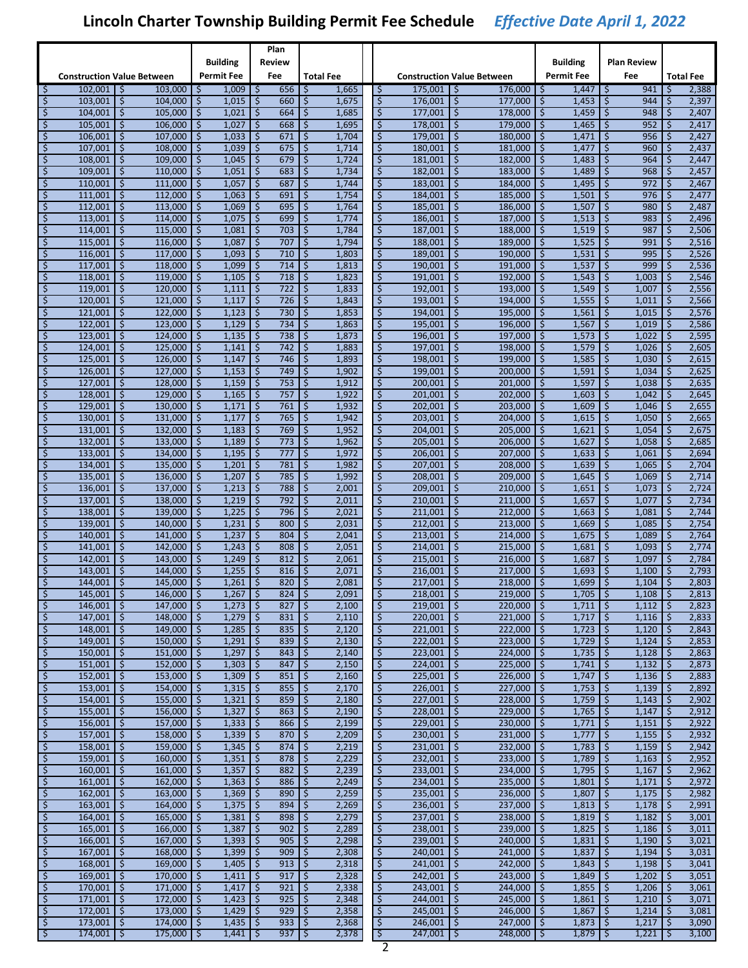|           |                                   |                         |                                |           |                            |           | Plan                                                        |                |                  |                            |                                   |           |                                |                     |                     |                          |                                     |          |                  |
|-----------|-----------------------------------|-------------------------|--------------------------------|-----------|----------------------------|-----------|-------------------------------------------------------------|----------------|------------------|----------------------------|-----------------------------------|-----------|--------------------------------|---------------------|---------------------|--------------------------|-------------------------------------|----------|------------------|
|           |                                   |                         |                                |           | Building                   |           | Review                                                      |                |                  |                            |                                   |           |                                |                     | <b>Building</b>     |                          | Plan Review                         |          |                  |
|           | <b>Construction Value Between</b> |                         |                                |           | <b>Permit Fee</b>          |           | Fee                                                         |                | <b>Total Fee</b> |                            | <b>Construction Value Between</b> |           |                                |                     | <b>Permit Fee</b>   |                          | Fee                                 |          | <b>Total Fee</b> |
| \$        | 102,001                           | 1 \$                    | $103,000$   \$                 |           | 1,009                      | \$        | 656                                                         | -\$            | 1,665            | \$                         | $175,001$   \$                    |           | 176,000                        | -\$                 | 1,447               | \$                       | 941                                 | \$       | 2,388            |
| \$        | 103,001                           | \$                      | 104,000                        | \$        | 1,015                      | \$        | 660                                                         | $\zeta$        | 1,675            | \$                         | 176,001                           | \$        | 177,000                        | \$                  | 1,453               | \$                       | 944                                 | Ś        | 2,397            |
| \$        | 104,001                           | \$                      | 105,000                        | \$        | 1,021                      | \$        | 664                                                         | \$             | 1,685            | \$                         | 177,001                           | \$        | 178,000                        | \$                  | 1,459               | \$                       | 948                                 | \$       | 2,407            |
| \$        | 105,001                           | \$                      | 106,000                        | \$        | 1,027                      | \$        | 668                                                         | -\$            | 1,695            | \$                         | 178,001                           | \$        | 179,000                        | \$                  | 1,465               | \$                       | 952                                 | \$       | 2,417            |
| \$        | 106,001                           | \$                      | 107,000                        | \$        | 1,033                      | \$        | 671                                                         | \$             | 1,704            | \$                         | 179,001                           | \$        | 180,000                        | \$                  | 1,471               | \$                       | 956                                 | \$       | 2,427            |
| \$        | 107,001                           | \$.                     | 108,000                        | -\$       | 1,039                      | \$.       | 675                                                         | -\$            | 1,714            | \$                         | 180,001                           | \$        | 181,000                        | -\$                 | 1,477               | \$                       | 960                                 | \$       | 2,437            |
| \$        | 108,001                           | \$                      | 109,000                        | \$        | 1,045                      | \$        | 679                                                         | \$             | 1,724            | \$                         | 181,001                           | \$        | 182,000                        | \$                  | 1,483               | \$                       | 964                                 | \$       | 2,447            |
| \$<br>\$  | 109,001                           | \$                      | 110,000<br>111,000             | \$<br>\$  | 1,051                      | \$        | 683<br>687                                                  | \$             | 1,734            | \$<br>\$                   | 182,001                           | \$        | 183,000                        | \$                  | 1,489               | \$<br>\$                 | 968<br>972                          | \$       | 2,457            |
| \$        | 110,001<br>111,001                | \$<br>\$                | 112,000                        | \$        | 1,057<br>1,063             | \$<br>\$  | 691                                                         | \$<br>\$       | 1,744<br>1,754   | \$                         | 183,001<br>184,001                | \$<br>\$  | 184,000<br>185,000             | \$<br>\$            | 1,495<br>1,501      | \$                       | 976                                 | \$<br>\$ | 2,467<br>2,477   |
| \$        | 112,001                           | \$.                     | 113,000                        | -\$       | 1,069                      | \$.       | 695                                                         | -\$            | 1,764            | \$                         | 185,001                           | \$.       | 186,000                        | -\$                 | 1,507               | -\$                      | 980                                 | \$       | 2,487            |
| \$        | 113,001                           | \$                      | 114,000                        | \$        | 1,075                      | \$        | 699                                                         | \$             | 1,774            | \$                         | 186,001                           | \$        | 187,000                        | \$                  | 1,513               | \$                       | 983                                 | \$       | 2,496            |
| \$        | 114,001                           | \$                      | 115,000                        | \$        | 1,081                      | \$        | 703                                                         | \$             | 1,784            | \$                         | 187,001                           | \$        | 188,000                        | \$                  | 1,519               | \$                       | 987                                 | \$       | 2,506            |
| \$        | 115,001                           | \$                      | 116,000                        | \$        | 1,087                      | \$        | 707                                                         | \$             | 1,794            | \$                         | 188,001                           | \$        | 189,000                        | \$                  | 1,525               | \$                       | 991                                 | \$       | 2,516            |
| \$        | 116,001                           | \$                      | 117,000                        | \$        | 1,093                      | \$        | 710                                                         | ∣\$            | 1,803            | \$                         | 189,001                           | \$        | 190,000                        | \$                  | 1,531               | \$                       | 995                                 | \$       | 2,526            |
| \$        | 117,001                           | \$.                     | 118,000                        | -\$       | 1,099                      | \$.       | 714                                                         | ا \$           | 1,813            | \$                         | 190,001                           | \$.       | 191,000                        | -\$                 | 1,537               | \$                       | 999                                 | \$       | 2,536            |
| \$        | 118,001                           | \$                      | 119,000                        | \$        | 1,105                      | \$        | 718                                                         | \$             | 1,823            | \$                         | 191,001                           | \$        | 192,000                        | \$                  | 1,543               | \$                       | 1,003                               | \$       | 2,546            |
| \$        | 119,001                           | \$                      | 120,000                        | \$        | 1,111                      | \$        | 722                                                         | -\$            | 1,833            | \$                         | 192,001                           | \$        | 193,000                        | \$                  | 1,549               | \$                       | 1,007                               | \$       | 2,556            |
| \$        | 120,001                           | \$                      | 121,000                        | \$        | 1,117                      | \$        | 726                                                         | \$             | 1,843            | \$                         | 193,001                           | \$        | 194,000                        | \$                  | 1,555               | \$                       | 1,011                               | \$       | 2,566            |
| \$        | 121,001                           | \$                      | 122,000                        | \$        | 1,123                      | \$        | 730                                                         | ∣\$            | 1,853            | \$                         | 194,001                           | \$        | 195.000                        | \$                  | 1,561               | \$                       | 1,015                               | \$       | 2,576            |
| \$        | 122,001                           | \$.                     | 123,000                        | -\$       | 1,129                      | \$.       | 734                                                         | l \$           | 1,863            | \$                         | 195,001                           | \$.       | 196,000                        | -\$                 | 1,567               | -\$                      | 1,019                               | '\$      | 2,586            |
| \$        | 123,001                           | \$                      | 124,000                        | \$        | 1,135                      | \$        | 738                                                         | \$             | 1,873            | \$                         | 196,001                           | \$        | 197,000                        | \$                  | 1,573               | \$                       | 1,022                               | \$       | 2,595            |
| \$        | 124,001                           | \$                      | 125,000                        | \$        | 1,141                      | \$        | 742                                                         | -\$            | 1,883            | \$                         | 197,001                           | \$        | 198,000                        | \$                  | 1,579               | \$                       | 1,026                               | \$       | 2,605            |
| \$        | 125,001                           | \$                      | 126,000                        | \$        | 1,147                      | \$        | 746                                                         | \$             | 1,893            | \$                         | 198,001                           | \$        | 199,000                        | \$                  | 1,585               | \$                       | 1,030                               | \$       | 2,615            |
| \$        | 126,001                           | \$                      | 127,000                        | \$        | 1,153                      | \$        | 749<br>753                                                  | -\$            | 1,902            | \$<br>\$                   | 199.001                           | \$        | 200,000                        | \$                  | 1,591               | \$                       | 1,034                               | \$<br>\$ | 2,625            |
| \$<br>\$  | 127,001<br>128,001                | \$.<br>\$               | 128,000<br>129,000             | -\$<br>\$ | 1,159<br>1,165             | \$.<br>\$ | 757                                                         | -\$<br>$\zeta$ | 1,912<br>1,922   | \$                         | 200,001<br>201,001                | \$.<br>\$ | 201,000<br>202,000             | -\$<br>\$           | 1,597<br>1,603      | \$<br>\$                 | 1,038<br>1,042                      | \$       | 2,635<br>2,645   |
| \$        | 129,001                           | \$                      | 130,000                        | \$        | 1,171                      | \$        | 761                                                         | -\$            | 1,932            | \$                         | 202,001                           | \$        | 203,000                        | \$                  | 1,609               | \$                       | 1,046                               | \$       | 2,655            |
| \$        | 130,001                           | \$                      | 131,000                        | \$        | 1,177                      | \$        | 765                                                         | \$             | 1,942            | \$                         | 203,001                           | \$        | 204,000                        | \$                  | 1,615               | \$                       | 1,050                               | \$       | 2,665            |
| \$        | 131,001                           | \$                      | 132,000                        | \$        | 1,183                      | \$        | 769                                                         | \$             | 1,952            | \$                         | 204,001                           | \$        | 205,000                        | \$                  | 1,621               | \$                       | 1,054                               | \$       | 2,675            |
| \$        | 132,001                           | \$.                     | 133,000                        | -\$       | 1,189                      | \$.       | 773                                                         | -\$            | 1,962            | \$                         | 205,001                           | \$.       | 206,000                        | \$                  | 1,627               | \$                       | 1,058                               | \$       | 2,685            |
| \$        | 133,001                           | \$                      | 134,000                        | \$        | 1,195                      | \$        | 777                                                         | \$             | 1,972            | \$                         | 206,001                           | \$        | 207,000                        | \$                  | 1,633               | \$                       | 1,061                               | \$       | 2,694            |
| \$        | 134,001                           | \$                      | 135,000                        | \$        | 1,201                      | \$        | 781                                                         | \$             | 1,982            | \$                         | 207,001                           | \$        | 208,000                        | \$                  | 1,639               | \$                       | 1,065                               | \$       | 2,704            |
| \$        | 135,001                           | \$                      | 136,000                        | \$        | 1,207                      | \$        | 785                                                         | \$             | 1,992            | \$                         | 208,001                           | \$        | 209,000                        | \$                  | 1,645               | \$                       | 1,069                               | \$       | 2,714            |
| \$        | 136,001                           | \$                      | 137,000                        | \$        | 1,213                      | \$        | 788                                                         | \$             | 2,001            | \$                         | 209,001                           | \$        | 210,000                        | \$                  | 1,651               | \$                       | 1,073                               | \$       | 2,724            |
| \$        | 137,001                           | \$.                     | 138,000                        | -\$       | 1,219                      | \$        | 792                                                         | -\$            | 2,011            | \$                         | 210,001                           | \$.       | 211,000                        | \$                  | 1,657               | \$                       | 1,077                               | \$       | 2,734            |
| \$        | 138,001                           | \$                      | 139,000                        | \$        | 1,225                      | \$        | 796                                                         | \$             | 2,021            | \$                         | 211,001                           | \$        | 212,000                        | \$                  | 1,663               | \$                       | 1,081                               | \$       | 2,744            |
| \$        | 139,001                           | \$                      | 140,000                        | \$        | 1,231                      | \$        | 800                                                         | -\$            | 2,031            | \$                         | 212,001                           | \$        | 213,000                        | \$                  | 1,669               | \$                       | 1,085                               | \$       | 2,754            |
| \$        | 140,001                           | \$                      | 141,000                        | \$        | 1,237                      | \$        | 804                                                         | \$             | 2,041            | \$                         | 213,001                           | \$        | 214,000                        | \$                  | 1,675               | \$                       | 1,089                               | \$       | 2,764            |
| \$        | 141,001                           | \$                      | 142,000                        | \$        | 1,243                      | \$        | 808                                                         | \$             | 2,051            | \$                         | 214,001                           | \$        | 215,000                        | \$                  | 1,681               | \$                       | 1,093                               | \$       | 2,774            |
| \$        | 142,001                           | \$.                     | 143.000                        | \$<br>Š.  | 1,249                      | \$.       | 812                                                         | -\$<br>Š.      | 2,061            | \$                         | 215,001                           | \$        | 216,000                        | -\$<br>Ś            | 1,687               | \$                       | 1,097                               | \$<br>Ŝ  | 2,784            |
| \$<br>\$  | 143,001<br>144,001                | \$<br>\$                | 144,000<br>145,000             | \$        | 1,255<br>1,261             | \$<br>\$  | 816<br>820                                                  | \$             | 2,071<br>2,081   | \$<br>\$                   | 216,001<br>217,001                | \$<br>\$  | 217,000<br>218,000             | \$                  | 1,693<br>1,699      | Ś<br>\$                  | 1,100<br>1,104                      | \$       | 2,793<br>2,803   |
| \$        | $145,001$ \$                      |                         | $146,000$ \$                   |           | $1,267$ \$                 |           | $824$ \$                                                    |                | 2,091            |                            | $218,001$ \$                      |           | $219,000$ \$                   |                     | $1,705$ \$          |                          | $1,108$ \$                          |          | 2,813            |
| \$        | 146,001                           | $\mathsf{S}$            | $147,000$   \$                 |           | $1,273$ \$                 |           | 827                                                         | l \$           | 2,100            | $\zeta$                    | $219,001$ \$                      |           | $220,000$ \$                   |                     | $1,711$ \$          |                          | $1,112$ \$                          |          | 2,823            |
| \$        | $147,001$ \$                      |                         | $148,000$ \$                   |           | $1,279$ \$                 |           | 831                                                         | 1\$            | 2,110            | \$                         | $220,001$ \$                      |           | $221,000$ \$                   |                     | $1,717$ \$          |                          | $1,116$ \$                          |          | 2,833            |
| \$        | 148,001                           | $\overline{\mathbf{v}}$ | $149,000$ \$                   |           | $1,285$   \$               |           | $835$   \$                                                  |                | 2,120            | $\zeta$                    | $221,001$ \$                      |           | 222,000                        | $\ddot{\mathsf{S}}$ | $1,723$ \$          |                          | $1,120$ \$                          |          | 2,843            |
| \$        | 149,001                           | -\$                     | $150,000$ \$                   |           | $1,291$   \$               |           | 839                                                         | \$ ا           | 2,130            | \$                         | $222,001$ \$                      |           | $223,000$ \$                   |                     | $1,729$   \$        |                          | $1,124$   \$                        |          | 2,853            |
| \$        | 150,001                           | l \$                    | $151,000$ \$                   |           | $1,297$ \$                 |           | 843                                                         | \$             | 2,140            | \$                         | $223,001$ \$                      |           | $224,000$ \$                   |                     | 1,735               | $\overline{\mathbf{v}}$  | $1,128$ \$                          |          | 2,863            |
| \$        | 151,001                           | \$                      | $152,000$   \$                 |           | $1,303$   \$               |           | 847                                                         | ۱\$            | 2,150            | \$                         | $224,001$ \$                      |           | 225,000                        | $\ddot{\mathsf{S}}$ | $1,741$   \$        |                          | $1,132$   \$                        |          | 2,873            |
| \$        | $152,001$ \$                      |                         | $153,000$ \$                   |           | $1,309$ \$                 |           | 851   5                                                     |                | 2,160            | \$                         | $225,001$ \$                      |           | $226,000$ \$                   |                     | $1,747$ \$          |                          | $1,136$   \$                        |          | 2,883            |
| \$        | 153,001                           | $\overline{\mathsf{5}}$ | $154,000$ \$                   |           | $1,315$ \$                 |           | $855$   \$                                                  |                | 2,170            | $\varsigma$                | $226,001$ \$                      |           | 227,000                        | $\ddot{\mathsf{S}}$ | 1,753               | $\varsigma$              | 1,139                               | \$       | 2,892            |
| \$        | $154,001$ \$                      |                         | $155,000$ \$                   |           | $1,321$ \$                 |           | $859$   \$                                                  |                | 2,180            | \$                         | $227,001$ \$                      |           | $228,000$ \$                   |                     | 1,759               | \$                       | $1,143$   \$                        |          | 2,902            |
| \$        | $155,001$ \$                      |                         | $156,000$ \$                   |           | $1,327$ \$                 |           | $863$ \$                                                    |                | 2,190            | \$                         | $228,001$ \$                      |           | $229,000$ \$                   |                     | 1,765               | ç                        | $1,147$ \$                          |          | 2,912            |
| \$        | 156,001                           | \$                      | $157,000$   \$                 |           | $1,333$   \$               |           | $866$   \$                                                  |                | 2,199            | \$                         | $229,001$ \$                      |           | $230,000$ \$                   |                     | $1,771$   \$        |                          | $1,151$   \$                        |          | 2,922            |
| \$        | $157,001$ \$<br>$158,001$ \$      |                         | $158,000$   \$<br>$159,000$ \$ |           | $1,339$ \$<br>$1,345$ \$   |           | $870$ \$                                                    |                | 2,209<br>2,219   | \$<br>$\varsigma$          | $230,001$ \$<br>$231,001$ \$      |           | $231,000$ \$<br>232,000        |                     | $1,777$ \$<br>1,783 |                          | $1,155$ $\frac{1}{5}$<br>$1,159$ \$ |          | 2,932<br>2,942   |
| \$<br>\$  | $159,001$ \$                      |                         | $160,000$ \$                   |           | $1,351$ \$                 |           | $874$   \$<br>$878$   \$                                    |                | 2,229            | \$                         | $232,001$ \$                      |           | $233,000$ \$                   | $\ddot{\mathsf{S}}$ | 1,789               | $\frac{1}{2}$<br>\$      | $1,163$   \$                        |          | 2,952            |
| \$        | $160,001$ \$                      |                         | $161,000$ \$                   |           | $1,357$ \$                 |           | 882   \$                                                    |                | 2,239            | \$                         | $233,001$ \$                      |           | $234,000$ \$                   |                     | 1,795               | $\overline{\mathbf{v}}$  | $1,167$ \$                          |          | 2,962            |
| \$        | 161,001                           | \$                      | $162,000$   \$                 |           | $1,363$   \$               |           | $886$   \$                                                  |                | 2,249            | \$                         | $234,001$   \$                    |           | 235,000                        | \$                  | 1,801               | \$                       | $1,171$   \$                        |          | 2,972            |
| \$        | $162,001$ \$                      |                         | $163,000$   \$                 |           | $1,369$ \$                 |           | $890$ \$                                                    |                | 2,259            | \$                         | $235,001$ \$                      |           | 236,000 \$                     |                     | $1,807$ \$          |                          | $1,175$ \$                          |          | 2,982            |
| \$        | $163,001$ \$                      |                         | $164,000$ \$                   |           | $1,375$ \$                 |           | $894$   \$                                                  |                | 2,269            | $\varsigma$                | $236,001$ \$                      |           | 237,000                        | $\ddot{\mathsf{S}}$ | 1,813               | $\frac{1}{2}$            | $1,178$ \$                          |          | 2,991            |
| \$        | $164,001$ \$                      |                         | $165,000$ \$                   |           | $1,381$ \$                 |           | $898$   \$                                                  |                | 2,279            | \$                         | $237,001$ \$                      |           | $238,000$ \$                   |                     | 1,819               | \$                       | $1,182$ \$                          |          | 3,001            |
| \$        | $165,001$ \$                      |                         | $166,000$ \$                   |           | $1,387$ \$                 |           | $902$ \$                                                    |                | 2,289            | \$                         | $238,001$ \$                      |           | $239,000$ \$                   |                     | 1,825               | <b>ب</b>                 | $1,186$ \$                          |          | 3,011            |
| \$        | 166,001                           | -\$                     | $167,000$   \$                 |           | $1,393$   \$               |           | $905$   \$                                                  |                | 2,298            | \$                         | $239,001$ \$                      |           | 240,000                        | \$                  | 1,831               | \$                       | $1,190$   \$                        |          | 3,021            |
| \$        | $167,001$ \$                      |                         | $168,000$   \$                 |           | $1,399$ \$                 |           | $909$ \$                                                    |                | 2,308            | \$                         | $240,001$ \$                      |           | $241,000$ \$                   |                     | 1,837               | $\sqrt{5}$               | $1,194$ \$                          |          | 3,031            |
| \$        | $168,001$ \$                      |                         | $169,000$ \$                   |           | $1,405$   \$               |           | 913   \$                                                    |                | 2,318            | $\zeta$                    | $241,001$ \$                      |           | 242,000                        | $\ddot{\mathsf{S}}$ | 1,843               | \$                       | $1,198$ \$                          |          | 3,041            |
| \$        | $169,001$ \$                      |                         | $170,000$ \$                   |           | $1,411$   \$               |           | $917$   \$                                                  |                | 2,328            | \$                         | $242,001$ \$                      |           | $243,000$ \$                   |                     | 1,849               | \$                       | $1,202$ \$                          |          | 3,051            |
| \$        | $170,001$ \$                      |                         | $171,000$ \$                   |           | $1,417$ \$                 |           | 921                                                         | $\vert \zeta$  | 2,338            | \$                         | $243,001$ \$                      |           | $244,000$ \$                   |                     | 1,855               | $\overline{\mathcal{L}}$ | $1,206$ \$                          |          | 3,061            |
| \$        | 171,001                           | -\$                     | $172,000$   \$                 |           | $1,423$   \$               |           | $925$   \$                                                  |                | 2,348            | \$                         | $244,001$ \$                      |           | 245,000                        | \$                  | 1,861               | \$                       | $1,210$ \$                          |          | 3,071            |
| \$        | $172,001$ \$                      |                         | $173,000$ \$                   |           | $1,429$ \$                 |           | $929$ \$                                                    |                | 2,358            | \$                         | $245,001$ \$                      |           | $246,000$ \$                   |                     | $1,867$ \$          |                          | $1,214$ \$                          |          | 3,081            |
| \$<br>-\$ | $173,001$ \$<br>174,001           | ॱऽ                      | $174,000$ \$<br>$175,000$ \$   |           | $1,435$   \$<br>$1,441$ \$ |           | $933$   \$<br>$937 \, \frac{\phantom{1}}{\phantom{1}}\,$ \$ |                | 2,368<br>2,378   | $\ddot{\mathsf{S}}$<br>-\$ | $246,001$ \$<br>$247,001$ \$      |           | $247,000$ \$<br>$248,000$   \$ |                     | 1,873<br>1,879      | \$<br>\$.                | $1,217$ \$<br>$1,221$   \$          |          | 3,090<br>3,100   |
|           |                                   |                         |                                |           |                            |           |                                                             |                |                  |                            |                                   |           |                                |                     |                     |                          |                                     |          |                  |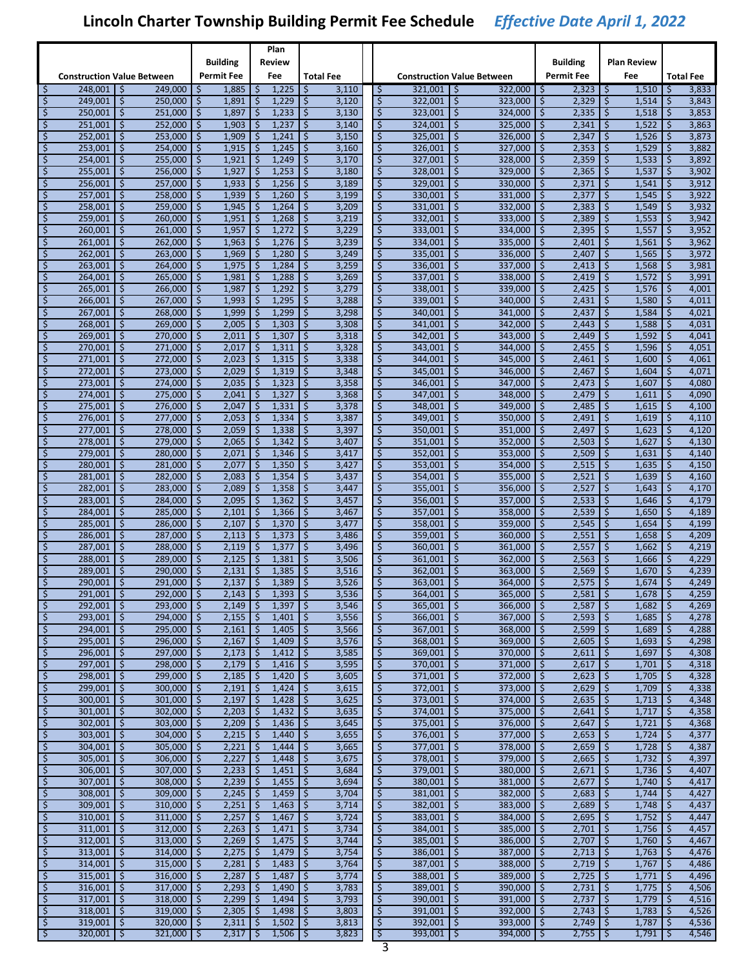|          |                                   |              |                              |          |                                |                          | Plan                       |                  |                |                                      |                                   |                         |                                         |          |                   |                                      |                              |               |                  |
|----------|-----------------------------------|--------------|------------------------------|----------|--------------------------------|--------------------------|----------------------------|------------------|----------------|--------------------------------------|-----------------------------------|-------------------------|-----------------------------------------|----------|-------------------|--------------------------------------|------------------------------|---------------|------------------|
|          |                                   |              |                              |          | <b>Building</b>                |                          | Review                     |                  |                |                                      |                                   |                         |                                         |          | <b>Building</b>   |                                      | <b>Plan Review</b>           |               |                  |
|          | <b>Construction Value Between</b> |              |                              |          | <b>Permit Fee</b>              |                          | Fee                        | <b>Total Fee</b> |                |                                      | <b>Construction Value Between</b> |                         |                                         |          | <b>Permit Fee</b> |                                      | Fee                          |               | <b>Total Fee</b> |
| \$       | 248,001                           | \$           | 249.000                      | \$       | 1,885                          | \$                       | 1,225                      | \$               | 3,110          | -Ş                                   | 321,001                           | \$                      | $322,000$   \$                          |          | 2,323             | \$                                   | 1,510                        | -Ş            | 3,833            |
| \$       | 249,001                           | \$           | 250,000                      | $\zeta$  | 1,891                          | \$                       | 1,229                      | \$               | 3,120          | $\zeta$                              | 322,001                           | \$                      | 323,000                                 | \$       | 2,329             | \$                                   | 1,514                        | \$            | 3,843            |
| \$       | 250.001                           | \$           | 251,000                      | \$       | 1,897                          | \$                       | 1,233                      | -\$              | 3,130          | \$                                   | 323,001                           | \$                      | 324,000                                 | \$       | 2,335             | \$                                   | 1,518                        | \$            | 3,853            |
| \$       | 251,001                           | \$.          | 252,000                      | \$       | 1,903                          | \$                       | 1,237                      | \$               | 3,140          | \$                                   | 324,001                           | \$                      | 325,000                                 | \$       | 2,341             | \$                                   | 1,522                        | \$            | 3,863            |
| \$<br>\$ | 252,001<br>253,001                | \$<br>\$     | 253,000<br>254,000           | \$<br>\$ | 1,909<br>1,915                 | \$<br>\$                 | 1,241<br>1,245             | \$<br>\$         | 3,150<br>3,160 | \$<br>\$                             | 325,001<br>326,001                | \$<br>\$                | 326,000<br>327,000                      | \$<br>\$ | 2,347<br>2,353    | Ś.<br>\$                             | 1,526<br>1,529               | \$<br>\$      | 3,873<br>3,882   |
| $\zeta$  | 254,001                           | \$           | 255,000                      | \$       | 1,921                          | \$                       | 1,249                      | \$               | 3,170          | $\zeta$                              | 327,001                           | \$                      | 328,000                                 | \$       | 2,359             | \$                                   | 1,533                        | \$            | 3,892            |
| \$       | 255,001                           | \$           | 256,000                      | \$       | 1,927                          | \$                       | 1,253                      | -\$              | 3,180          | \$                                   | 328,001                           | \$                      | 329,000                                 | \$       | 2,365             | \$                                   | 1,537                        | \$            | 3,902            |
| \$       | 256,001                           | \$           | 257,000                      | \$       | 1,933                          | \$                       | 1,256                      | ا \$             | 3,189          | \$                                   | 329,001                           | \$                      | 330,000                                 | \$       | 2,371             | \$                                   | 1,541                        | \$            | 3,912            |
| \$       | 257,001                           | \$           | 258,000                      | \$       | 1,939                          | \$                       | 1,260                      | -\$              | 3,199          | \$                                   | 330,001                           | \$                      | 331,000                                 | \$       | 2,377             | Ś.                                   | 1,545                        | \$            | 3,922            |
| \$       | 258,001                           | \$           | 259,000                      | \$       | 1,945                          | \$                       | 1,264                      | \$               | 3,209          | \$                                   | 331,001                           | \$                      | 332,000                                 | \$       | 2,383             | \$                                   | 1,549                        | \$            | 3,932            |
| $\zeta$  | 259,001                           | \$           | 260.000                      | \$       | 1,951                          | \$                       | 1,268                      | \$               | 3,219          | \$                                   | 332,001                           | \$                      | 333.000                                 | \$       | 2,389             | \$                                   | 1,553                        | $\zeta$       | 3,942            |
| \$       | 260,001                           | \$           | 261,000                      | \$       | 1,957                          | \$                       | 1,272                      | \$               | 3,229          | \$                                   | 333,001                           | \$                      | 334,000                                 | \$       | 2,395             | \$                                   | 1,557                        | \$            | 3,952            |
| \$       | 261,001                           | \$           | 262,000                      | \$       | 1,963                          | \$                       | 1,276                      | \$ ا             | 3,239          | $\zeta$                              | 334,001                           | \$                      | 335,000                                 | \$       | 2,401             | \$                                   | 1,561                        | $\zeta$       | 3,962            |
| \$       | 262,001                           | \$           | 263,000                      | \$       | 1,969                          | \$                       | 1,280                      | \$               | 3,249          | \$                                   | 335,001                           | \$                      | 336,000                                 | \$       | 2,407             | Ś.                                   | 1,565                        | \$            | 3,972            |
| \$       | 263,001                           | \$           | 264,000                      | \$       | 1,975                          | \$                       | 1,284                      | \$               | 3,259          | $\zeta$                              | 336,001                           | \$                      | 337,000                                 | \$       | 2,413             | \$                                   | 1,568                        | \$            | 3,981            |
| \$       | 264,001                           | \$           | 265,000                      | \$       | 1,981                          | \$                       | 1,288                      | \$               | 3,269          | \$                                   | 337,001                           | \$                      | 338,000                                 | \$       | 2,419             | \$                                   | 1,572                        | $\zeta$       | 3,991            |
| \$       | 265,001                           | \$           | 266,000                      | \$       | 1,987                          | \$                       | 1,292                      | \$               | 3,279          | \$                                   | 338,001                           | \$                      | 339,000                                 | \$       | 2,425             | \$                                   | 1,576                        | $\zeta$       | 4,001<br>4,011   |
| \$<br>\$ | 266,001<br>267,001                | \$<br>\$     | 267,000<br>268,000           | \$<br>\$ | 1,993<br>1,999                 | \$<br>\$                 | 1,295<br>1,299             | -\$<br>-\$       | 3,288<br>3,298 | $\zeta$<br>\$                        | 339,001<br>340,001                | \$<br>\$                | 340,000<br>341,000                      | \$<br>\$ | 2,431<br>2,437    | \$<br>Ś.                             | 1,580<br>1,584               | $\zeta$<br>\$ | 4,021            |
| \$       | 268,001                           | \$           | 269,000                      | \$       | 2,005                          | \$                       | 1,303                      | \$               | 3,308          | $\zeta$                              | 341,001                           | \$                      | 342,000                                 | \$       | 2,443             | \$                                   | 1,588                        | \$            | 4,031            |
| \$       | 269.001                           | \$           | 270,000                      | \$       | 2,011                          | \$                       | 1,307                      | \$               | 3,318          | \$                                   | 342,001                           | \$                      | 343,000                                 | \$       | 2,449             | \$                                   | 1,592                        | $\zeta$       | 4,041            |
| \$       | 270,001                           | \$           | 271,000                      | \$       | 2,017                          | \$                       | 1,311                      | \$               | 3,328          | \$                                   | 343,001                           | \$                      | 344,000                                 | \$       | 2,455             | \$                                   | 1,596                        | $\zeta$       | 4,051            |
| \$       | 271,001                           | \$.          | 272.000                      | \$       | 2,023                          | \$                       | 1,315                      | \$               | 3,338          | \$                                   | 344,001                           | \$                      | 345,000                                 | \$       | 2,461             | \$                                   | 1,600                        | \$            | 4,061            |
| \$       | 272,001                           | \$           | 273,000                      | \$       | 2,029                          | \$                       | 1,319                      | l \$             | 3,348          | \$                                   | 345,001                           | \$                      | 346,000                                 | \$       | 2,467             | Ś.                                   | 1,604                        | \$            | 4,071            |
| \$       | 273,001                           | \$           | 274,000                      | \$       | 2,035                          | \$                       | 1,323                      | \$               | 3,358          | \$                                   | 346,001                           | \$                      | 347,000                                 | \$       | 2,473             | \$                                   | 1,607                        | \$            | 4,080            |
| \$       | 274,001                           | \$           | 275.000                      | \$       | 2,041                          | \$                       | 1,327                      | \$               | 3,368          | \$                                   | 347,001                           | \$                      | 348,000                                 | \$       | 2,479             | \$                                   | 1,611                        | \$            | 4,090            |
| \$       | 275,001                           | \$           | 276,000                      | \$       | 2,047                          | \$                       | 1,331                      | $\zeta$          | 3,378          | \$                                   | 348,001                           | \$                      | 349,000                                 | \$       | 2,485             | \$                                   | 1,615                        | $\zeta$       | 4,100            |
| \$       | 276,001                           | \$.          | 277,000                      | \$       | 2,053                          | \$                       | 1,334                      | \$               | 3,387          | \$                                   | 349,001                           | \$                      | 350,000                                 | \$       | 2,491             | \$                                   | 1,619                        | \$            | 4,110            |
| \$       | 277,001                           | \$           | 278,000                      | \$       | 2,059                          | \$                       | 1,338                      | \$               | 3,397          | \$                                   | 350,001                           | \$                      | 351,000                                 | \$       | 2,497             | Ś.                                   | 1,623                        | \$            | 4,120            |
| \$       | 278,001                           | \$           | 279,000                      | \$       | 2,065                          | \$                       | 1,342                      | \$               | 3,407          | $\zeta$                              | 351,001                           | \$                      | 352,000                                 | \$       | 2,503             | \$                                   | 1,627                        | $\zeta$       | 4,130            |
| \$       | 279,001                           | \$           | 280,000                      | \$       | 2,071                          | \$                       | 1,346                      | \$               | 3,417          | \$                                   | 352,001                           | \$                      | 353,000                                 | \$       | 2,509             | \$                                   | 1,631                        | \$            | 4,140            |
| \$<br>\$ | 280,001<br>281,001                | \$<br>\$.    | 281,000<br>282,000           | \$<br>\$ | 2,077<br>2,083                 | \$<br>\$                 | 1,350<br>1,354             | ∣\$<br>-\$       | 3,427<br>3,437 | \$<br>\$                             | 353,001<br>354,001                | \$<br>\$                | 354,000<br>355,000                      | \$<br>\$ | 2,515<br>2,521    | \$<br>\$                             | 1,635<br>1,639               | $\zeta$<br>\$ | 4,150<br>4,160   |
| \$       | 282,001                           | \$           | 283,000                      | \$       | 2,089                          | \$                       | 1,358                      | -\$              | 3,447          | \$                                   | 355,001                           | \$                      | 356,000                                 | \$       | 2,527             | Ś.                                   | 1,643                        | \$            | 4,170            |
| \$       | 283,001                           | \$           | 284,000                      | \$       | 2,095                          | \$                       | 1,362                      | \$               | 3,457          | \$                                   | 356,001                           | \$                      | 357,000                                 | \$       | 2,533             | \$                                   | 1,646                        | \$            | 4,179            |
| \$       | 284,001                           | \$           | 285,000                      | \$       | 2,101                          | \$                       | 1,366                      | \$               | 3,467          | \$                                   | 357,001                           | \$                      | 358,000                                 | \$       | 2,539             | \$                                   | 1,650                        | \$            | 4,189            |
| \$       | 285,001                           | \$           | 286,000                      | \$       | 2,107                          | \$                       | 1,370                      | ∣\$              | 3,477          | \$                                   | 358,001                           | \$                      | 359,000                                 | \$       | 2,545             | \$                                   | 1,654                        | \$            | 4,199            |
| \$       | 286,001                           | \$           | 287,000                      | \$       | 2,113                          | \$                       | 1,373                      | \$               | 3,486          | \$                                   | 359,001                           | \$                      | 360.000                                 | \$       | 2,551             | \$                                   | 1,658                        | \$            | 4,209            |
| \$       | 287,001                           | \$           | 288,000                      | \$       | 2,119                          | \$                       | 1,377                      | \$               | 3,496          | \$                                   | 360,001                           | \$                      | 361.000                                 | \$       | 2,557             | Ś.                                   | 1,662                        | \$            | 4,219            |
| \$       | 288,001                           | \$           | 289,000                      | \$       | 2,125                          | \$                       | 1,381                      | \$               | 3,506          | \$                                   | 361,001                           | \$                      | 362,000                                 | \$       | 2,563             | \$                                   | 1,666                        | \$            | 4,229            |
| \$       | 289,001                           | \$           | 290,000                      | Ś        | 2,131                          | \$                       | 1,385                      | \$               | 3,516          | \$                                   | 362,001                           | \$                      | 363,000                                 | \$       | 2,569             | Ś.                                   | 1,670                        | Ś             | 4,239            |
| \$       | 290,001                           | \$           | 291,000                      | \$       | 2,137                          | \$                       | 1,389                      | \$               | 3,526          | \$                                   | 363,001                           | \$                      | 364,000                                 | \$       | 2,575             | \$                                   | 1,674                        | \$            | 4,249            |
| ⇒        | $291,001$ \$<br>292.001           |              | $292,000$ \$                 |          | 2,143                          | ⇒                        | $1,393$   \$               |                  | 3,536          | Ç                                    | $364,001$ \$                      |                         | $365,000$ \$                            |          | $2,581$ \$        |                                      | $1,678$   \$                 |               | 4,259            |
| \$<br>\$ | $293,001$ \$                      | $\mathsf{S}$ | $293,000$ \$<br>294,000 \$   |          | 2,149<br>$2,155$ \$            | $\frac{1}{2}$            | $1,397$ \$<br>$1,401$   \$ |                  | 3,546<br>3,556 | \$<br>$\frac{1}{2}$                  | $365,001$   \$<br>$366,001$ \$    |                         | $366,000$ $\frac{1}{5}$<br>$367,000$ \$ |          | 2,587<br>2,593    | $\ddot{\mathsf{S}}$<br>$\frac{1}{2}$ | 1,682<br>$1,685$ \$          | -\$           | 4,269<br>4,278   |
| \$       | 294,001                           | <b>S</b>     | $295,000$ \$                 |          | 2,161                          | \$                       | $1,405$ \$                 |                  | 3,566          | $\frac{1}{2}$                        | $367,001$ \$                      |                         | $368,000$ \$                            |          | 2,599             | $\ddot{\mathsf{S}}$                  | 1,689                        | -\$           | 4,288            |
| \$       | 295,001 \$                        |              | $296,000$ \$                 |          | 2,167                          | $\frac{1}{2}$            | $1,409$ \$                 |                  | 3,576          | \$                                   | 368,001                           | $\frac{1}{2}$           | $369,000$ \$                            |          | 2,605             | $\ddot{\mathsf{S}}$                  | $1,693$   \$                 |               | 4,298            |
| \$       | $296,001$ \$                      |              | $297,000$ \$                 |          | 2,173                          | -\$                      | $1,412$   \$               |                  | 3,585          | \$                                   | $369,001$ \$                      |                         | $370,000$   \$                          |          | 2,611             | \$                                   | $1,697$ \$                   |               | 4,308            |
| \$       | 297,001                           | $\mathsf{S}$ | 298,000 \$                   |          | 2,179                          | $\ddot{\mathsf{S}}$      | $1,416$ \$                 |                  | 3,595          | $\zeta$                              | $370,001$ \$                      |                         | $371,000$   \$                          |          | 2,617             | \$                                   | $1,701$ \$                   |               | 4,318            |
| \$       | $298,001$ \$                      |              | 299,000 \$                   |          | $2,185$   \$                   |                          | $1,420$ \$                 |                  | 3,605          | \$                                   | $371,001$ \$                      |                         | $372,000$ \$                            |          | 2,623             | \$                                   | $1,705$ \$                   |               | 4,328            |
| \$       | 299,001                           | \$           | $300,000$   \$               |          | 2,191                          | \$                       | $1,424$ \$                 |                  | 3,615          | $\varsigma$                          | 372,001                           | -\$                     | $373,000$ \$                            |          | 2,629             | $\ddot{\mathsf{S}}$                  | 1,709                        | l\$           | 4,338            |
| \$       | $300,001$ \$                      |              | $301,000$ \$                 |          | 2,197                          | \$                       | $1,428$ \$                 |                  | 3,625          | \$                                   | 373,001                           | $\ddot{\mathsf{S}}$     | $374,000$ \$                            |          | 2,635             | $\ddot{\mathsf{S}}$                  | $1,713$ \$                   |               | 4,348            |
| \$       | $301,001$ \$                      |              | $302,000$ \$                 |          | 2,203                          | $\overline{\mathcal{S}}$ | $1,432$   \$               |                  | 3,635          | \$                                   | $374,001$ \$                      |                         | $375,000$ \$                            |          | 2,641             | \$                                   | $1,717$ \$                   |               | 4,358            |
| \$       | 302,001                           | $\mathsf{S}$ | $303,000$ \$                 |          | 2,209                          | $\ddot{\mathsf{S}}$      | $1,436$ \$                 |                  | 3,645          | \$                                   | $375,001$ \$                      |                         | $376,000$   \$                          |          | 2,647             | \$                                   | 1,721                        | l \$          | 4,368            |
| \$       | $303,001$ \$                      |              | $304,000$ \$                 |          | $2,215$ \$                     |                          | $1,440$ \$                 |                  | 3,655          | \$                                   | $376,001$   \$                    |                         | $377,000$   \$                          |          | 2,653             | \$                                   | $1,724$ \$                   |               | 4,377            |
| \$       | 304,001                           | \$           | $305,000$ \$                 |          | 2,221                          | \$                       | $1,444$ \$                 |                  | 3,665          | \$                                   | 377,001                           | \$                      | 378,000 \$                              |          | 2,659             | $\frac{1}{2}$                        | 1,728                        | -\$           | 4,387            |
| \$<br>\$ | $305,001$ \$<br>$306,001$   \$    |              | $306,000$ \$<br>$307,000$ \$ |          | 2,227<br>$2,233$   \$          | \$                       | $1,448$ \$<br>$1,451$   \$ |                  | 3,675<br>3,684 | \$<br>\$                             | 378,001<br>$379,001$ \$           | $\ddot{\mathsf{S}}$     | 379,000 \$<br>$380,000$ \$              |          | 2,665<br>2,671    | $\ddot{\mathsf{S}}$<br>\$            | $1,732$ \$<br>$1,736$ \$     |               | 4,397<br>4,407   |
| \$       | 307,001                           | $\mathsf{S}$ | $308,000$ $\frac{1}{5}$      |          | 2,239                          | $\frac{1}{2}$            | $1,455$ $\frac{1}{5}$      |                  | 3,694          | $\zeta$                              | $380,001$ \$                      |                         | $381,000$   \$                          |          | 2,677             | \$                                   | 1,740                        | l \$          | 4,417            |
| \$       | $308,001$ \$                      |              | $309,000$ \$                 |          | $2,245$ \$                     |                          | $1,459$ \$                 |                  | 3,704          | $\zeta$                              | 381,001                           | \$                      | $382,000$   \$                          |          | 2,683             | \$                                   | $1,744$ \$                   |               | 4,427            |
| \$       | 309,001                           | \$           | $310,000$   \$               |          | 2,251                          | \$                       | $1,463$ \$                 |                  | 3,714          | \$                                   | 382,001                           | -\$                     | $383,000$ \$                            |          | 2,689             | $\frac{1}{2}$                        | 1,748                        | -\$           | 4,437            |
| \$       | $310,001$ \$                      |              | $311,000$ \$                 |          | 2,257                          | \$                       | $1,467$ \$                 |                  | 3,724          | \$                                   | 383,001                           | $\ddot{\mathsf{S}}$     | 384,000 \$                              |          | 2,695             | \$                                   | $1,752$ \$                   |               | 4,447            |
| \$       | $311,001$   \$                    |              | $312,000$ \$                 |          | $2,263$ \$                     |                          | $1,471$   \$               |                  | 3,734          | \$                                   | $384,001$ \$                      |                         | $385,000$   \$                          |          | 2,701             | \$                                   | $1,756$ \$                   |               | 4,457            |
| \$       | 312,001                           | <b>S</b>     | $313,000$ \$                 |          | 2,269                          | $\ddot{\mathsf{S}}$      | $1,475$ \$                 |                  | 3,744          | $\zeta$                              | 385,001                           | $\overline{\mathsf{S}}$ | $386,000$   \$                          |          | 2,707             | $\frac{1}{2}$                        | $1,760$ \$                   |               | 4,467            |
| \$       | 313,001                           | <b>S</b>     | $314,000$ \$                 |          | $2,275$ \$                     |                          | $1,479$ \$                 |                  | 3,754          | $\zeta$                              | 386,001                           | \$                      | $387,000$   \$                          |          | 2,713             | \$                                   | $1,763$   \$                 |               | 4,476            |
| \$       | 314,001                           | \$           | 315,000                      | \$       | 2,281                          | \$                       | $1,483$   \$               |                  | 3,764          | \$                                   | 387,001                           | -\$                     | $388,000$ \$                            |          | 2,719             | $\ddot{\mathsf{S}}$                  | $1,767$   \$                 |               | 4,486            |
| \$       | $315,001$ \$                      |              | $316,000$ \$                 |          | 2,287                          | \$                       | $1,487$ \$                 |                  | 3,774          | \$                                   | 388,001                           | $\zeta$                 | 389,000 \$                              |          | 2,725             | $\zeta$                              | $1,771$ \$                   |               | 4,496            |
| \$       | $316,001$   \$                    |              | $317,000$ \$                 |          | 2,293                          | \$                       | $1,490$   \$               |                  | 3,783          | $\zeta$                              | 389,001                           | ۱\$                     | $390,000$ \$                            |          | 2,731             | \$                                   | $1,775$   \$                 |               | 4,506            |
| \$       | 317,001                           | $\mathsf{S}$ | $318,000$ \$                 |          | 2,299                          | $\zeta$                  | $1,494$   \$               |                  | 3,793          | $\zeta$                              | 390,001                           | $\mathsf{S}$            | $391,000$   \$                          |          | 2,737             | $\mathsf{S}$                         | $1,779$ \$                   |               | 4,516            |
| \$       | $318,001$ \$<br>319,001           | <b>S</b>     | $319,000$ \$<br>$320,000$ \$ |          | $2,305$ $\frac{1}{5}$<br>2,311 | -\$                      | $1,498$ \$<br>$1,502$ \$   |                  | 3,803<br>3,813 | $\ddot{\mathsf{S}}$<br>$\frac{1}{2}$ | 391,001<br>$392,001$ \$           | \$                      | $392,000$ \$<br>$393,000$ \$            |          | 2,743<br>2,749    | \$<br>$\mathsf{S}$                   | $1,783$   \$<br>$1,787$   \$ |               | 4,526<br>4,536   |
| \$<br>ड़ | $320,001$ \$                      |              | $321,000$   \$               |          | $2,317$ \$                     |                          | $1,506$   \$               |                  | 3,823          | \$                                   | $393,001$ \$                      |                         | $394,000$   \$                          |          | $2,755$   \$      |                                      | $1,791$   \$                 |               | 4,546            |
|          |                                   |              |                              |          |                                |                          |                            |                  |                |                                      |                                   |                         |                                         |          |                   |                                      |                              |               |                  |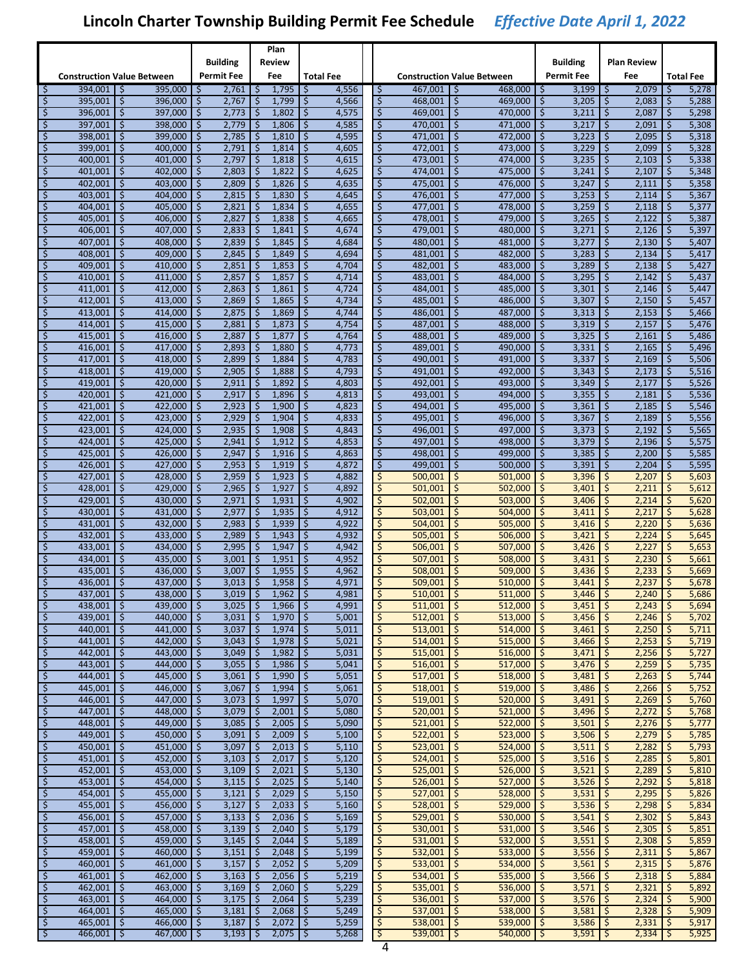|                          |                                   |                         |                    |          |                   |                          | Plan           |                  |                |                         |                    |                                     |         |                 |               |                     |         |                  |
|--------------------------|-----------------------------------|-------------------------|--------------------|----------|-------------------|--------------------------|----------------|------------------|----------------|-------------------------|--------------------|-------------------------------------|---------|-----------------|---------------|---------------------|---------|------------------|
|                          |                                   |                         |                    |          | Building          |                          | Review         |                  |                |                         |                    |                                     |         | <b>Building</b> |               | Plan Review         |         |                  |
|                          | <b>Construction Value Between</b> |                         |                    |          | <b>Permit Fee</b> |                          | Fee            | <b>Total Fee</b> |                |                         |                    | <b>Construction Value Between</b>   |         | Permit Fee      |               | Fee                 |         | <b>Total Fee</b> |
| \$                       | 394.001                           | -Ś                      | 395,000            | -S       | 2,761             | \$                       | 1,795          | -\$              | 4,556          | \$                      | 467.001            | \$<br>$468,000$ \$                  |         | 3,199           | S.            | 2,079               | -\$     | 5,278            |
| \$                       | 395,001                           | \$                      | 396,000            | \$       | 2,767             | \$                       | 1,799          | \$               | 4,566          | $\zeta$                 | 468,001            | \$<br>469,000                       | \$      | 3,205           | \$            | 2,083               | \$      | 5,288            |
| \$                       | 396,001                           | \$                      | 397,000            | \$       | 2,773             | \$                       | 1,802          | \$               | 4,575          | \$                      | 469,001            | \$<br>470,000                       | \$      | 3,211           | \$            | 2,087               | \$      | 5,298            |
| \$                       | 397,001                           | \$                      | 398,000            | \$       | 2,779             | \$                       | 1,806          | ۱\$              | 4,585          | \$                      | 470,001            | \$<br>471,000                       | $\zeta$ | 3,217           | \$            | 2,091               | $\zeta$ | 5,308            |
| \$                       | 398,001                           | \$                      | 399,000            | \$       | 2,785             | \$                       | 1,810          | ا \$             | 4,595          | \$                      | 471,001            | \$<br>472,000                       | \$      | 3,223           | \$            | 2,095               | \$      | 5,318            |
| \$                       | 399,001                           | \$                      | 400,000            | \$       | 2,791             | \$                       | 1,814          | \$               | 4,605          | \$                      | 472,001            | \$<br>473,000                       | \$      | 3,229           | \$            | 2,099               | \$      | 5,328            |
| \$                       | 400,001                           | \$                      | 401,000            | \$       | 2,797             | \$                       | 1,818          | \$               | 4,615          | \$                      | 473,001            | \$<br>474,000                       | \$      | 3,235           | Ś.            | 2,103               | \$      | 5,338            |
| \$                       | 401,001                           | \$                      | 402,000            | \$       | 2,803             | \$                       | 1,822          | \$               | 4,625          | \$                      | 474,001            | \$<br>475,000                       | \$      | 3,241           | \$            | 2,107               | \$      | 5,348            |
| \$                       | 402,001                           | \$                      | 403,000            | \$       | 2,809             | \$                       | 1,826          | \$ ا             | 4,635          | \$                      | 475,001            | \$<br>476,000                       | \$      | 3,247           | \$            | 2,111               | $\zeta$ | 5,358            |
| \$                       | 403,001                           | \$                      | 404,000            | \$       | 2,815             | \$                       | 1,830          | ا \$             | 4,645          | \$                      | 476,001            | \$<br>477.000                       | \$      | 3,253           | \$            | 2,114               | \$      | 5,367            |
| \$                       | 404,001                           | \$                      | 405,000            | \$       | 2,821             | \$                       | 1,834          | \$               | 4,655          | \$                      | 477,001            | \$<br>478,000                       | \$      | 3,259           | \$            | 2,118               | \$      | 5,377            |
| \$                       | 405,001                           | \$                      | 406,000            | \$       | 2,827             | \$                       | 1,838          | \$               | 4,665          | \$                      | 478,001            | \$<br>479,000                       | \$      | 3,265           | Ś.            | 2,122               | \$      | 5,387            |
| \$                       | 406,001                           | \$                      | 407,000            | \$       | 2,833             | \$                       | 1,841          | \$               | 4,674          | \$                      | 479,001            | \$<br>480,000                       | \$      | 3,271           | \$            | 2,126               | \$      | 5,397            |
| \$                       | 407,001                           | \$                      | 408,000            | \$       | 2,839             | \$                       | 1,845          | ∣\$              | 4,684          | \$                      | 480,001            | \$<br>481,000                       | \$      | 3,277           | \$            | 2,130               | $\zeta$ | 5,407            |
| \$                       | 408,001                           | \$                      | 409,000            | \$       | 2,845             | \$                       | 1,849          | -\$              | 4,694          | \$                      | 481,001            | \$<br>482,000                       | \$      | 3,283           | \$            | 2,134               | \$      | 5,417            |
| \$                       | 409,001                           | \$                      | 410,000            | \$       | 2,851             | \$                       | 1,853          | \$               | 4,704          | \$                      | 482,001            | \$<br>483,000                       | \$      | 3,289           | \$            | 2,138               | \$      | 5,427            |
| \$                       | 410,001                           | \$                      | 411,000            | \$       | 2,857             | \$                       | 1,857          | \$               | 4,714          | $\zeta$                 | 483,001            | \$<br>484,000                       | \$      | 3,295           | Ś.            | 2,142               | \$      | 5,437            |
| \$                       | 411,001                           | \$                      | 412,000            | \$       | 2,863             | \$                       | 1,861          | \$               | 4,724          | \$                      | 484,001            | \$<br>485,000                       | \$      | 3,301           | \$            | 2,146               | \$      | 5,447            |
| \$                       | 412,001                           | \$                      | 413,000            | \$       | 2,869             | \$                       | 1,865          | \$ ا             | 4,734          | \$                      | 485,001            | \$<br>486,000                       | \$      | 3,307           | \$            | 2,150               | $\zeta$ | 5,457            |
| \$                       | 413,001                           | \$                      | 414,000            | \$       | 2,875             | \$                       | 1,869          | -\$              | 4,744          | \$                      | 486.001            | \$<br>487,000                       | \$      | 3,313           | \$            | 2,153               | \$      | 5,466            |
| \$                       | 414,001                           | \$                      | 415.000            | \$       | 2,881             | \$                       | 1,873          | \$               | 4,754          | \$                      | 487,001            | \$<br>488,000                       | \$      | 3,319           | \$            | 2,157               | \$      | 5,476            |
| \$                       | 415,001                           | \$                      | 416,000            | \$       | 2,887             | \$                       | 1,877          | \$               | 4,764          | $\zeta$                 | 488.001            | \$<br>489.000                       | \$      | 3,325           | Ś.            | 2,161               | \$      | 5,486            |
| \$                       | 416,001                           | \$                      | 417,000            | \$       | 2,893             | \$                       | 1,880          | \$               | 4,773          | \$                      | 489,001            | \$<br>490,000                       | \$      | 3,331           | \$            | 2,165               | \$      | 5,496            |
| \$                       | 417,001                           | \$                      | 418.000            | \$       | 2,899             | \$                       | 1,884          | -\$              | 4,783          | \$                      | 490,001            | \$<br>491,000                       | \$      | 3,337           | \$            | 2,169               | $\zeta$ | 5,506            |
| \$                       | 418,001                           | \$                      | 419,000            | \$       | 2,905             | \$                       | 1,888          | \$               | 4,793          | \$                      | 491,001            | \$<br>492.000                       | \$      | 3,343           | \$            | 2,173               | \$      | 5,516            |
| \$                       | 419,001                           | \$                      | 420,000            | \$       | 2,911             | \$                       | 1,892          | \$               | 4,803          | \$                      | 492,001            | \$<br>493,000                       | \$      | 3,349           | \$            | 2,177               | \$      | 5,526            |
| \$                       | 420,001                           | \$                      | 421,000            | \$       | 2,917             | \$                       | 1,896          | \$               | 4,813          | $\zeta$                 | 493.001            | \$<br>494,000                       | \$      | 3,355           | Ś.            | 2,181               | \$      | 5,536            |
| \$                       | 421,001                           | \$                      | 422,000            | \$       | 2,923             | \$                       | 1,900          | \$               | 4,823          | \$                      | 494,001            | \$<br>495,000                       | \$      | 3,361           | \$            | 2,185               | \$      | 5,546            |
| \$                       | 422,001                           | \$                      | 423,000            | \$       | 2,929             | \$                       | 1,904          | -\$              | 4,833          | \$                      | 495,001            | \$<br>496,000                       | \$      | 3,367           | \$            | 2,189               | $\zeta$ | 5,556            |
| \$                       | 423,001                           | \$                      | 424,000            | \$       | 2,935             | \$                       | 1,908          | \$               | 4,843          | \$                      | 496,001            | \$<br>497,000                       | \$      | 3,373           | \$            | 2,192               | \$      | 5,565            |
| \$                       | 424,001                           | \$                      | 425,000            | \$       | 2,941             | \$                       | 1,912          | \$               | 4,853          | \$                      | 497,001            | \$<br>498,000                       | \$      | 3,379           | \$            | 2,196               | \$      | 5,575            |
| \$                       | 425,001                           | \$                      | 426,000            | \$       | 2,947             | \$                       | 1,916          | \$               | 4,863          | $\varsigma$             | 498,001            | \$<br>499,000                       | \$      | 3,385           | \$            | 2,200               | \$      | 5,585            |
| \$                       | 426,001                           | \$                      | 427,000            | \$       | 2,953             | \$                       | 1,919          | \$               | 4,872          | \$                      | 499,001            | \$<br>500,000                       | \$      | 3,391           | \$            | 2,204               | \$      | 5,595            |
| \$                       | 427,001                           | \$                      | 428,000            | \$       | 2,959             | \$                       | 1,923          | \$ ا             | 4,882          | \$                      | 500,001            | \$<br>501,000                       | \$      | 3,396           | \$            | 2,207               | $\zeta$ | 5,603            |
| \$                       | 428,001                           | \$                      | 429,000            | \$       | 2,965             | \$                       | 1,927          | \$               | 4,892          | \$                      | 501,001            | \$<br>502,000                       | \$      | 3,401           | \$            | 2,211               | \$      | 5,612            |
| \$                       | 429,001                           | \$                      | 430,000            | \$       | 2,971             | \$                       | 1,931          | \$               | 4,902          | \$                      | 502,001            | \$<br>503,000                       | \$      | 3,406           | \$            | 2,214               | \$      | 5,620            |
| \$                       | 430,001                           | \$                      | 431,000            | \$       | 2,977             | \$                       | 1,935          | \$               | 4,912          | $\overline{\mathsf{S}}$ | 503,001            | \$<br>504,000                       | \$      | 3,411           | \$            | 2,217               | \$      | 5,628            |
| \$                       | 431,001                           | \$                      | 432,000            | \$       | 2,983             | \$                       | 1,939          | \$               | 4,922          | \$                      | 504,001            | \$<br>505,000                       | \$      | 3,416           | \$            | 2,220               | \$      | 5,636            |
| \$                       | 432,001                           | \$                      | 433,000            | \$       | 2,989             | \$                       | 1,943          | ∣\$              | 4,932          | \$                      | 505,001            | \$<br>506,000                       | \$      | 3,421           | \$            | 2,224               | \$      | 5,645            |
| \$                       | 433,001                           | \$                      | 434,000            | \$       | 2,995             | \$                       | 1,947          | \$               | 4,942          | \$<br>\$                | 506,001            | \$<br>507,000                       | \$      | 3,426           | \$            | 2,227               | \$      | 5,653            |
| \$<br>\$                 | 434,001                           | \$<br>\$                | 435,000<br>436,000 | \$<br>\$ | 3,001<br>3,007    | \$<br>Š.                 | 1,951<br>1,955 | \$<br>\$         | 4,952          | $\overline{\mathsf{S}}$ | 507,001            | \$<br>508,000<br>\$<br>509,000      | \$<br>Ś | 3,431           | \$<br>\$      | 2,230<br>2,233      | \$<br>Ŝ | 5,661<br>5,669   |
| \$                       | 435,001<br>436,001                | \$                      | 437,000            | \$       | 3,013             | \$                       | 1,958          |                  | 4,962          | \$                      | 508,001<br>509,001 | \$<br>510,000                       | \$      | 3,436<br>3,441  | \$            |                     | \$      |                  |
|                          | 437,001 \$                        |                         | 438,000 \$         |          | $3,019$ \$        |                          | $1,962$   \$   | \$               | 4,971<br>4,981 |                         | $510,001$ \$       | $511,000$ \$                        |         | $3,446$ \$      |               | 2,237<br>$2,240$ \$ |         | 5,678<br>5,686   |
| ₽<br>$\zeta$             | $438,001$ \$                      |                         | 439,000 \$         |          | $3,025$ \$        |                          | $1,966$   \$   |                  | 4,991          | $\varsigma$             | $511,001$ \$       | $512,000$ \$                        |         | $3,451$   \$    |               | 2,243               | \$      | 5,694            |
| \$                       | $439,001$ \$                      |                         | $440,000$ \$       |          | $3,031$ \$        |                          | $1,970$   \$   |                  | 5,001          | $\frac{1}{2}$           | $512,001$ \$       | $513,000$ \$                        |         | $3,456$ \$      |               | 2,246               | \$.     | 5,702            |
| $\varsigma$              | 440,001                           | 5                       | $441,000$ \$       |          | 3,037             | $\mathsf{S}$             | $1,974$   \$   |                  | 5,011          | $\varsigma$             | $513,001$ \$       | $514,000$ \$                        |         | 3,461           | $\mathbf{c}$  | 2,250               | S.      | 5,711            |
| \$                       | 441,001                           | \$                      | 442,000 $\vert$ \$ |          | 3,043             | $\zeta$                  | $1,978$ \$     |                  | 5,021          | \$                      | 514,001            | $\ddot{\mathsf{S}}$<br>$515,000$ \$ |         | 3,466           | $\frac{1}{2}$ | 2,253               | S.      | 5,719            |
| \$                       | $442,001$ \$                      |                         | 443,000 $\mid$ \$  |          | 3,049             | \$                       | $1,982$ \$     |                  | 5,031          | \$                      | $515,001$ \$       | $516,000$ \$                        |         | $3,471$ \$      |               | $2,256$ \$          |         | 5,727            |
| \$                       | 443,001                           | -\$                     | $444,000$   \$     |          | 3,055             | \$                       | $1,986$   \$   |                  | 5,041          | \$                      | $516,001$ \$       | 517,000                             | \$      | 3,476           | $\zeta$       | 2,259               | \$      | 5,735            |
| \$                       | $444,001$ \$                      |                         | 445,000 $\vert$ \$ |          | $3,061$ \$        |                          | $1,990$ \$     |                  | 5,051          | $\zeta$                 | $517,001$ \$       | $518,000$ \$                        |         | 3,481           | $\zeta$       | 2,263               | \$      | 5,744            |
| $\zeta$                  | 445,001                           | $\mathsf{S}$            | $446,000$ \$       |          | 3,067             | $\ddot{\mathsf{S}}$      | $1,994$ \$     |                  | 5,061          | $\zeta$                 | $518,001$ \$       | $519,000$ \$                        |         | 3,486           | $\mathsf{S}$  | 2,266               | \$      | 5,752            |
| \$                       | 446,001                           | \$                      | 447,000 \$         |          | 3,073             | $\zeta$                  | $1,997$ \$     |                  | 5,070          | \$                      | 519,001            | $\frac{1}{2}$<br>$520,000$ \$       |         | 3,491           | \$            | 2,269               | S.      | 5,760            |
| \$                       | $447,001$ \$                      |                         | $448,000$ \$       |          | $3,079$   \$      |                          | $2,001$ \$     |                  | 5,080          | \$                      | $520,001$ \$       | $521,000$ \$                        |         | $3,496$ \$      |               | $2,272$ \$          |         | 5,768            |
| \$                       | 448,001                           | l \$                    | 449,000 \$         |          | $3,085$   \$      |                          | $2,005$ \$     |                  | 5,090          | \$                      | $521,001$ \$       | 522,000                             | \$      | 3,501           | \$            | 2,276               | \$      | 5,777            |
| \$                       | $449,001$ \$                      |                         | 450,000 $\vert$ \$ |          | $3,091$ \$        |                          | $2,009$ \$     |                  | 5,100          | \$                      | $522,001$ \$       | $523,000$ \$                        |         | 3,506           | l \$          | $2,279$ \$          |         | 5,785            |
| $\zeta$                  | 450,001                           | $\overline{\mathsf{S}}$ | $451,000$ \$       |          | 3,097             | $\overline{\mathcal{S}}$ | $2,013$ \$     |                  | 5,110          | $\varsigma$             | $523,001$ \$       | $524,000$ \$                        |         | 3,511           | $\zeta$       | 2,282               | \$      | 5,793            |
| \$                       | 451,001                           | \$                      | 452,000 $\vert$ \$ |          | 3,103             | \$                       | $2,017$ \$     |                  | 5,120          | \$                      | 524,001            | 525,000<br>\$                       | \$      | 3,516           | $\sqrt{5}$    | 2,285               | \$      | 5,801            |
| \$                       | $452,001$ \$                      |                         | $453,000$ \$       |          | $3,109$ \$        |                          | $2,021$ \$     |                  | 5,130          | \$                      | $525,001$ \$       | $526,000$ \$                        |         | $3,521$ \$      |               | 2,289               | ا \$    | 5,810            |
| \$                       | 453,001                           | l \$                    | 454,000 \$         |          | $3,115$ \$        |                          | $2,025$ \$     |                  | 5,140          | \$                      | $526,001$ \$       | 527,000                             | \$      | 3,526           | \$            | 2,292               | \$.     | 5,818            |
| \$                       | $454,001$ \$                      |                         | 455,000 $\vert$ \$ |          | $3,121$ \$        |                          | $2,029$ \$     |                  | 5,150          | \$                      | $527,001$ \$       | $528,000$ \$                        |         | 3,531           | $\zeta$       | 2,295               | S.      | 5,826            |
| $\zeta$                  | 455,001                           | <b>S</b>                | $456,000$ \$       |          | 3,127             | ે                        | $2,033$   \$   |                  | 5,160          | $\varsigma$             | $528,001$ \$       | $529,000$ \$                        |         | 3,536           | $\varsigma$   | 2,298               | \$      | 5,834            |
| \$                       | 456,001                           | \$                      | 457,000 \$         |          | 3,133             | \$                       | $2,036$ \$     |                  | 5,169          | \$                      | 529,001            | \$<br>530,000                       | -\$     | 3,541           | \$            | 2,302               | \$      | 5,843            |
| \$                       | $457,001$ \$                      |                         | 458,000 $\mid$ \$  |          | $3,139$ \$        |                          | $2,040$ \$     |                  | 5,179          | \$                      | $530,001$ \$       | $531,000$ \$                        |         | $3,546$ \$      |               | $2,305$ \$          |         | 5,851            |
| \$                       | 458,001                           | l \$                    | $459,000$ \$       |          | $3,145$ \$        |                          | $2,044$ \$     |                  | 5,189          | \$                      | $531,001$ \$       | $532,000$ \$                        |         | 3,551           | \$            | 2,308               | S.      | 5,859            |
| \$                       | 459,001 $\vert$ \$                |                         | $460,000$ \$       |          | $3,151$ \$        |                          | $2,048$ \$     |                  | 5,199          | \$                      | 532,001            | \$<br>$533,000$ \$                  |         | 3,556           | $\zeta$       | 2,311               | \$      | 5,867            |
| $\zeta$                  | 460,001                           | l \$                    | $461,000$ \$       |          | $3,157$ \$        |                          | $2,052$   \$   |                  | 5,209          | $\varsigma$             | $533,001$ \$       | $534,000$ \$                        |         | 3,561           | $\varsigma$   | 2,315               | \$      | 5,876            |
| \$                       | 461,001                           | \$                      | 462,000 \$         |          | 3,163             | \$                       | $2,056$ \$     |                  | 5,219          | \$                      | 534,001            | \$<br>$535,000$ \$                  |         | 3,566           | $\frac{1}{2}$ | 2,318               | \$      | 5,884            |
| \$                       | $462,001$   \$                    |                         | 463,000 $\mid$ \$  |          | $3,169$ \$        |                          | $2,060$   \$   |                  | 5,229          | \$                      | $535,001$ \$       | $536,000$ \$                        |         | $3,571$ \$      |               | $2,321$   \$        |         | 5,892            |
| \$                       | 463,001                           | l \$                    | $464,000$ \$       |          | $3,175$ \$        |                          | $2,064$   \$   |                  | 5,239          | $\frac{1}{2}$           | $536,001$ \$       | 537,000                             | -\$     | 3,576           | $\zeta$       | 2,324               | -\$     | 5,900            |
| \$                       | $464,001$ \$                      |                         | $465,000$   \$     |          | $3,181$ \$        |                          | $2,068$   \$   |                  | 5,249          | $\frac{1}{2}$           | $537,001$ \$       | 538,000 \$                          |         | 3,581           | $\zeta$       | 2,328               | -\$     | 5,909            |
| \$                       | 465,001                           | 5                       | $466,000$ \$       |          | $3,187$   \$      |                          | $2,072$   \$   |                  | 5,259          | $\overline{\varsigma}$  | $538,001$ \$       | $539,000$ \$                        |         | 3,586           | $\mathsf{S}$  | $2,331$   \$        |         | 5,917<br>5,925   |
| $\overline{\mathcal{L}}$ | 466,001                           | \$                      | $467,000$   \$     |          | $3,193$   \$      |                          | $2,075$   \$   |                  | 5,268          | Γ\$                     | $539,001$ \$       | $540,000$ \$                        |         | $3,591$ \$      |               | $2,334$ \$          |         |                  |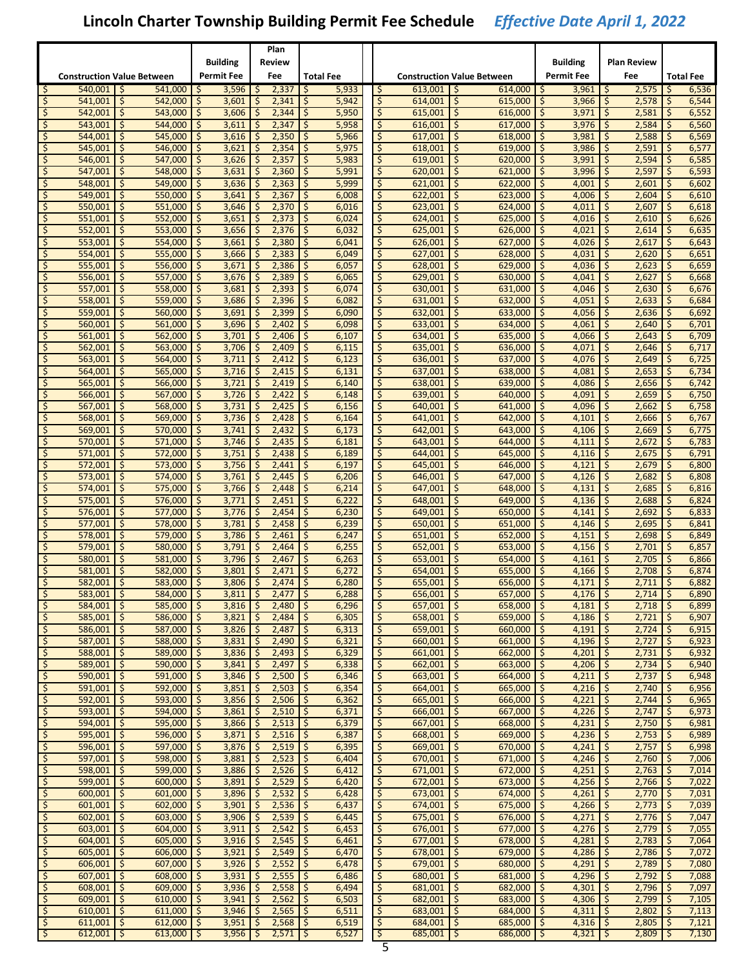|                   |                                   |      |                              |     |                            |               | Plan                         |                  |                |                               |                              |     |                                   |           |                     |                   |                            |                          |                  |
|-------------------|-----------------------------------|------|------------------------------|-----|----------------------------|---------------|------------------------------|------------------|----------------|-------------------------------|------------------------------|-----|-----------------------------------|-----------|---------------------|-------------------|----------------------------|--------------------------|------------------|
|                   |                                   |      |                              |     | Building                   |               | Review                       |                  |                |                               |                              |     |                                   |           | <b>Building</b>     |                   | Plan Review                |                          |                  |
|                   | <b>Construction Value Between</b> |      |                              |     | <b>Permit Fee</b>          |               | Fee                          | <b>Total Fee</b> |                |                               |                              |     | <b>Construction Value Between</b> |           | <b>Permit Fee</b>   |                   | Fee                        |                          | <b>Total Fee</b> |
| \$                | 540.001                           | -S   | 541,000                      | ۱\$ | 3,596                      | \$            | 2,337                        | -\$              | 5,933          | \$                            | 613.001                      | - Ś | 614.000                           | -\$       | 3,961               | -S                | 2,575                      | -\$                      | 6,536            |
| Ś.                | 541,001                           | Ŝ.   | 542,000                      | Ś   | 3,601                      | \$            | 2,341                        | $\zeta$          | 5,942          | \$                            | 614,001                      | \$  | 615,000                           | \$        | 3,966               | \$                | 2,578                      | \$                       | 6,544            |
| \$                | 542,001                           | \$   | 543,000                      | \$  | 3,606                      | \$            | 2,344                        | \$               | 5,950          | \$                            | 615,001                      | \$  | 616.000                           | \$        | 3,971               | \$                | 2,581                      | \$                       | 6,552            |
| \$                | 543,001                           | \$   | 544,000                      | \$  | 3,611                      | \$            | 2,347                        | \$               | 5,958          | \$                            | 616,001                      | -\$ | 617,000                           | \$        | 3,976               | \$                | 2,584                      | \$                       | 6,560            |
| \$                | 544,001                           | \$   | 545,000                      | \$  | 3,616                      | \$            | 2,350                        | -\$              | 5,966          | \$                            | 617,001                      | \$  | 618,000                           | \$        | 3,981               | \$                | 2,588                      | \$                       | 6,569            |
| \$                | 545,001                           | \$.  | 546,000                      | \$  | 3,621                      | \$            | 2,354                        | -\$              | 5,975          | \$                            | 618,001                      | \$. | 619,000                           | \$        | 3,986               | \$                | 2,591                      | \$                       | 6,577            |
| \$                | 546,001                           | \$.  | 547,000                      | Ś   | 3,626                      | \$            | 2,357                        | \$               | 5,983          | \$                            | 619,001                      | \$  | 620,000                           | \$        | 3,991               | \$                | 2,594                      | \$                       | 6,585            |
| \$                | 547,001                           | \$   | 548,000                      | \$  | 3,631                      | \$            | 2,360                        | -\$              | 5,991          | \$                            | 620,001                      | \$  | 621.000                           | \$        | 3,996               | \$                | 2,597                      | \$                       | 6,593            |
| \$                | 548,001                           | \$   | 549,000                      | \$  | 3,636                      | \$            | 2,363                        | -\$              | 5,999          | \$                            | 621,001                      | \$  | 622,000                           | \$        | 4,001               | \$                | 2,601                      | \$                       | 6,602            |
| \$                | 549,001                           | \$   | 550,000                      | \$  | 3,641                      | \$            | 2,367                        | \$               | 6,008          | \$                            | 622,001                      | \$  | 623,000                           | \$        | 4,006               | \$                | 2,604                      | \$                       | 6,610            |
| \$                | 550,001                           | \$.  | 551,000                      | \$  | 3,646                      | \$            | 2,370                        | ۱\$              | 6,016          | \$                            | 623,001                      | \$. | 624,000                           | \$        | 4,011               | \$                | 2,607                      | \$                       | 6,618            |
| \$                | 551,001                           | \$.  | 552.000                      | Ś   | 3,651                      | \$            | 2,373                        | \$               | 6,024          | \$                            | 624,001                      | \$  | 625,000                           | \$        | 4,016               | \$                | 2,610                      | \$                       | 6,626            |
| \$                | 552,001                           | \$   | 553,000                      | \$  | 3,656                      | \$            | 2,376                        | \$               | 6,032          | \$                            | 625,001                      | \$  | 626,000                           | \$        | 4,021               | \$                | 2,614                      | \$                       | 6,635            |
| \$                | 553,001                           | \$   | 554,000                      | \$  | 3,661                      | \$            | 2,380                        | ا \$             | 6,041          | \$                            | 626,001                      | \$  | 627,000                           | \$        | 4,026               | \$                | 2,617                      | \$                       | 6,643            |
| \$                | 554,001                           | \$   | 555,000                      | \$  | 3,666                      | \$            | 2,383                        | -\$              | 6,049          | \$                            | 627,001                      | \$  | 628,000                           | \$        | 4,031               | \$                | 2,620                      | \$                       | 6,651            |
| \$                | 555,001                           | \$.  | 556,000                      | \$  | 3,671                      | \$            | 2,386                        | -\$              | 6,057          | \$                            | 628,001                      | \$. | 629,000                           | \$        | 4,036               | \$                | 2,623                      | \$                       | 6,659            |
| \$                | 556,001                           | Ś.   | 557,000                      | Ś   | 3,676                      | \$            | 2,389                        | \$               | 6,065          | \$                            | 629,001                      | \$  | 630,000                           | \$        | 4,041               | \$                | 2,627                      | \$                       | 6,668            |
| \$                | 557,001                           | \$   | 558,000                      | \$  | 3,681                      | \$            | 2,393                        | \$               | 6,074          | \$                            | 630,001                      | \$  | 631,000                           | \$        | 4,046               | \$                | 2,630                      | \$                       | 6,676            |
| \$                | 558,001                           | \$   | 559,000                      | \$  | 3,686                      | \$            | 2,396                        | -\$              | 6,082          | \$                            | 631,001                      | \$  | 632,000                           | \$        | 4,051               | \$                | 2,633                      | \$                       | 6,684            |
| \$                | 559,001                           | \$   | 560,000                      | \$  | 3,691                      | \$            | 2,399                        | -\$              | 6,090          | \$                            | 632,001                      | \$  | 633.000                           | \$        | 4,056               | \$                | 2,636                      | \$                       | 6,692            |
| \$                | 560.001                           | \$.  | 561,000                      | \$  | 3,696                      | \$            | 2,402                        | -\$              | 6,098          | \$                            | 633,001                      | \$. | 634,000                           | \$        | 4,061               | \$                | 2,640                      | \$                       | 6,701            |
| \$                | 561,001                           | \$.  | 562,000                      | Ś   | 3,701                      | \$            | 2,406                        | $\zeta$          | 6,107          | \$                            | 634,001                      | \$  | 635,000                           | \$        | 4,066               | \$                | 2,643                      | Ś                        | 6,709            |
| \$                | 562,001                           | \$   | 563.000                      | \$  | 3,706                      | \$            | 2,409                        | \$               | 6,115          | \$                            | 635,001                      | \$  | 636,000                           | \$        | 4,071               | \$                | 2,646                      | \$                       | 6,717            |
| \$                | 563,001                           | \$   | 564,000                      | \$  | 3,711                      | \$            | 2,412                        | -\$              | 6,123          | \$                            | 636,001                      | \$  | 637,000                           | \$        | 4,076               | \$                | 2,649                      | \$                       | 6,725            |
| \$                | 564,001                           | \$   | 565,000                      | \$  | 3,716                      | \$            | 2,415                        | \$               | 6,131          | \$                            | 637,001                      | \$  | 638.000                           | \$        | 4,081               | \$                | 2,653                      | \$                       | 6,734            |
| \$                | 565,001                           | \$.  | 566,000                      | \$  | 3,721                      | \$            | 2,419                        | ۱\$              | 6,140          | \$                            | 638,001                      | \$. | 639,000                           | \$        | 4,086               | \$                | 2,656                      | \$                       | 6,742            |
| \$                | 566.001                           | \$.  | 567,000                      | Ś   | 3,726                      | \$            | 2,422                        | $\zeta$          | 6,148          | \$                            | 639,001                      | \$  | 640,000                           | \$        | 4,091               | \$                | 2,659                      | \$                       | 6,750            |
| \$                | 567,001                           | \$   | 568,000                      | \$  | 3,731                      | \$            | 2,425                        | \$               | 6,156          | \$                            | 640,001                      | \$  | 641,000                           | \$        | 4,096               | \$                | 2,662                      | \$                       | 6,758            |
| \$                | 568,001                           | \$   | 569,000                      | \$  | 3,736                      | \$            | 2,428                        | -\$              | 6,164          | \$                            | 641,001                      | \$  | 642,000                           | \$        | 4,101               | \$                | 2,666                      | \$                       | 6,767            |
| \$                | 569,001                           | \$   | 570,000                      | \$  | 3,741                      | \$            | 2,432                        | \$               | 6,173          | \$                            | 642,001                      | \$  | 643,000                           | \$        | 4,106               | \$                | 2,669                      | \$                       | 6,775            |
| \$                | 570,001                           | \$.  | 571,000                      | \$  | 3,746                      | \$            | 2,435                        | -\$              | 6,181          | \$                            | 643,001                      | \$. | 644,000                           | \$        | 4,111               | \$                | 2,672                      | \$                       | 6,783            |
| \$                | 571,001                           | \$   | 572,000                      | \$  | 3,751                      | \$            | 2,438                        | \$               | 6,189          | \$                            | 644,001                      | \$  | 645,000                           | \$        | 4,116               | \$                | 2,675                      | \$                       | 6,791            |
| \$                | 572,001                           | \$   | 573,000                      | \$  | 3,756                      | \$            | 2,441                        | \$               | 6,197          | \$                            | 645,001                      | \$  | 646,000                           | \$        | 4,121               | \$                | 2,679                      | \$                       | 6,800            |
| \$                | 573,001                           | \$   | 574,000                      | \$  | 3,761                      | \$            | 2,445                        | \$               | 6,206          | \$                            | 646,001                      | \$  | 647,000                           | \$        | 4,126               | \$                | 2,682                      | \$                       | 6,808            |
| \$                | 574,001                           | \$   | 575,000                      | \$  | 3,766                      | \$            | 2,448                        | \$               | 6,214          | \$                            | 647,001                      | \$  | 648,000                           | \$        | 4,131               | \$                | 2,685                      | \$                       | 6,816            |
| \$                | 575,001                           | \$.  | 576,000                      | \$  | 3,771                      | \$            | 2,451                        | -\$              | 6,222          | \$                            | 648,001                      | \$. | 649,000                           | \$        | 4,136               | \$                | 2,688                      | \$                       | 6,824            |
| \$                | 576,001                           | Ŝ.   | 577,000                      | \$  | 3,776                      | \$            | 2,454                        | \$               | 6,230          | \$                            | 649,001                      | \$  | 650,000                           | \$        | 4,141               | \$                | 2,692                      | Ŝ.                       | 6,833            |
| \$                | 577.001                           | \$   | 578,000                      | \$  | 3,781                      | \$            | 2,458                        | \$               | 6,239          | \$                            | 650,001                      | \$  | 651,000                           | \$        | 4,146               | \$                | 2,695                      | \$                       | 6,841            |
| \$                | 578,001                           | \$   | 579,000                      | \$  | 3,786                      | \$            | 2,461                        | \$               | 6,247          | \$                            | 651,001                      | \$  | 652,000                           | \$        | 4,151               | \$                | 2,698                      | \$                       | 6,849            |
| \$                | 579,001                           | \$   | 580,000                      | \$  | 3,791                      | \$            | 2,464                        | \$               | 6,255          | \$                            | 652,001                      | \$  | 653,000                           | \$        | 4,156               | \$                | 2,701                      | \$                       | 6,857            |
| \$                | 580,001                           | \$.  | 581,000                      | \$  | 3,796                      | \$            | 2,467                        | \$               | 6,263          | \$                            | 653,001                      | \$  | 654.000                           | \$        | 4,161               | \$                | 2,705                      | \$                       | 6,866            |
| \$                | 581,001                           | Ś.   | 582,000                      | Ś   | 3,801                      | \$.           | 2,471                        | Š.               | 6,272          | \$                            | 654.001                      | \$  | 655,000                           | Ś         | 4,166               | Ś                 | 2,708                      | Ś                        | 6,874            |
| \$                | 582,001                           | \$   | 583,000                      | \$  | 3,806                      | \$            | 2,474                        | \$               | 6,280          | \$                            | 655,001                      | \$  | 656,000                           | Ś         | 4,171               | \$                | 2,711                      | \$                       | 6,882            |
| ₹                 | $583,001$ \$                      |      | $584,000$ \$                 |     | $3,811$ \$                 |               | $2,477$ \$                   |                  | 6,288          |                               | $656,001$ \$                 |     | 657,000 \$                        |           | $4,176$ \$          |                   | $2,714$ \$                 |                          | 6,890            |
| \$                | 584,001 \$                        |      | $585,000$ \$                 |     | $3,816$ \$                 |               | $2,480$   \$                 |                  | 6,296          | $\zeta$                       | $657,001$ \$                 |     | $658,000$ \$                      |           | $4,181$   \$        |                   | $2,718$ \$                 |                          | 6,899            |
| \$                | $585,001$ \$                      |      | 586,000 \$                   |     | $3,821$ \$                 |               | $2,484$   \$                 |                  | 6,305          | \$                            | $658,001$ \$                 |     | $659,000$ \$                      |           | $4,186$ \$          |                   | $2,721$   \$               |                          | 6,907            |
| \$                | 586,001 \$                        |      | $587,000$ \$                 |     | $3,826$ \$                 |               | $2,487$   \$                 |                  | 6,313          | $\overline{\mathsf{S}}$       | $659,001$ \$                 |     | $660,000$ \$                      |           | 4,191               | $\mathsf{S}$      | $2,724$ \$                 |                          | 6,915            |
| \$                | 587,001                           | l \$ | $588,000$ \$                 |     | $3,831$ \$                 |               | $2,490$ \$                   |                  | 6,321          | \$                            | $660,001$ \$                 |     | 661,000                           | \$        | 4,196               | \$                | 2,727                      | \$ ا                     | 6,923            |
| \$                | $588,001$ \$                      |      | 589,000 \$                   |     | $3,836$ \$                 |               | $2,493$ \$                   |                  | 6,329          | \$                            | $661,001$ \$                 |     | $662,000$ \$                      |           | $4,201$ \$          |                   | $2,731$ \$                 |                          | 6,932            |
| \$                | $589.001$ \$                      |      | $590,000$ \$                 |     | $3,841$   \$               |               | $2,497$   \$                 |                  | 6,338          | \$                            | $662,001$ \$                 |     | 663,000                           | \$        | 4,206               | \$                | 2,734                      | \$                       | 6,940            |
| \$                | $590,001$ \$                      |      | 591,000 \$                   |     | $3,846$ \$                 |               | $2,500$ \$                   |                  | 6,346          | \$                            | $663,001$ \$                 |     | 664,000                           | \$        | 4,211               | $\zeta$           | $2,737$ \$                 |                          | 6,948            |
| $\varsigma$       | $591,001$ \$                      |      | $592,000$ \$                 |     | $3,851$ \$<br>$3,856$ \$   |               | $2,503$   \$                 |                  | 6,354          | $\overline{\mathsf{S}}$       | $664,001$ \$                 |     | 665,000                           | -\$       | 4,216               | $\varsigma$       | 2,740                      | l\$                      | 6,956            |
| \$                | $592,001$ \$                      |      | $593,000$ \$                 |     |                            |               | $2,506$   \$                 |                  | 6,362          | \$                            | $665,001$ \$                 |     | 666,000                           | \$        | 4,221<br>$4,226$ \$ | \$                | 2,744                      | -\$                      | 6,965            |
| \$                | $593,001$ \$<br>594,001 \$        |      | $594,000$ \$<br>$595,000$ \$ |     | $3,861$ \$                 |               | $2,510$ \$                   |                  | 6,371          | \$                            | $666,001$ \$                 |     | 667,000 \$                        |           |                     |                   | 2,747                      | \$                       | 6,973<br>6,981   |
| \$                | $595,001$ \$                      |      |                              |     | $3,866$   \$<br>$3,871$ \$ |               | $2,513$   \$                 |                  | 6,379          | \$                            | $667,001$ \$<br>$668,001$ \$ |     | 668,000                           | \$        | 4,231               | \$                | 2,750<br>2,753             | \$                       |                  |
| \$<br>$\varsigma$ | $596,001$ \$                      |      | $596,000$ \$<br>$597,000$ \$ |     | $3,876$ \$                 |               | $2,516$ \$<br>$2,519$ \$     |                  | 6,387          | \$<br>$\overline{\mathsf{S}}$ |                              |     | 669,000                           | \$<br>\$  | 4,236               | \$<br>$\varsigma$ |                            | <b>S</b><br>$\mathsf{S}$ | 6,989<br>6,998   |
|                   | $597,001$ \$                      |      |                              |     |                            |               |                              |                  | 6,395          |                               | $669,001$ \$<br>$670,001$ \$ |     | 670,000                           |           | 4,241               |                   | 2,757                      |                          | 7,006            |
| \$                | $598,001$ \$                      |      | $598,000$ \$<br>$599,000$ \$ |     | 3,881<br>$3,886$ \$        | $\frac{1}{2}$ | $2,523$ \$<br>$2,526$ \$     |                  | 6,404<br>6,412 | \$<br>\$                      | $671,001$ \$                 |     | 671,000<br>672,000 \$             | \$        | 4,246<br>$4,251$ \$ | \$                | $2,760$   \$<br>$2,763$ \$ |                          | 7,014            |
| \$<br>\$          | 599,001 \$                        |      | $600,000$ \$                 |     | $3,891$   \$               |               | $2,529$ \$                   |                  | 6,420          | \$                            | $672,001$ \$                 |     | 673,000                           | \$        | 4,256               | \$                | 2,766                      | \$                       | 7,022            |
|                   | $600,001$ \$                      |      |                              |     | $3,896$ \$                 |               |                              |                  |                | \$                            | $673,001$ \$                 |     |                                   |           |                     |                   | $2,770$ \$                 |                          |                  |
| \$<br>$\varsigma$ | $601,001$ \$                      |      | $601,000$ \$<br>$602,000$ \$ |     | 3,901                      | l \$          | $2,532$   \$<br>$2,536$   \$ |                  | 6,428<br>6,437 | $\overline{\mathsf{S}}$       | $674,001$ \$                 |     | 674,000<br>675,000                | \$<br>-\$ | 4,261<br>4,266      | \$<br>$\varsigma$ | $2,773$   \$               |                          | 7,031<br>7,039   |
| \$                | $602,001$ \$                      |      | $603,000$ \$                 |     | $3,906$   \$               |               | $2,539$ \$                   |                  | 6,445          | \$                            | $675,001$ \$                 |     | 676,000                           | \$        | 4,271               | \$                | $2,776$   \$               |                          | 7,047            |
| \$                | $603,001$ \$                      |      | $604,000$ \$                 |     | $3,911$ \$                 |               | $2,542$ \$                   |                  | 6,453          | \$                            | $676,001$ \$                 |     | 677,000 \$                        |           | $4,276$ \$          |                   | $2,779$ \$                 |                          | 7,055            |
| \$                | $604,001$ \$                      |      | $605,000$ \$                 |     | $3,916$   \$               |               | $2,545$   \$                 |                  | 6,461          | \$                            | $677,001$ \$                 |     | 678,000                           | \$        | 4,281               | \$                | 2,783                      | l\$                      | 7,064            |
| \$                | $605,001$ \$                      |      | $606,000$ \$                 |     | $3,921$ \$                 |               | $2,549$   \$                 |                  | 6,470          | \$                            | $678,001$ \$                 |     | 679,000                           | \$        | 4,286               | \$                | 2,786                      | \$                       | 7,072            |
| \$                | $606,001$ \$                      |      | $607,000$ \$                 |     | $3,926$ \$                 |               | $2,552$   \$                 |                  | 6,478          | \$                            | $679,001$ \$                 |     | 680,000                           | -\$       | 4,291               | $\varsigma$       | $2,789$   \$               |                          | 7,080            |
| \$                | $607,001$ \$                      |      | $608,000$ \$                 |     | $3,931$ \$                 |               | $2,555$   \$                 |                  | 6,486          | \$                            | $680,001$ \$                 |     | 681,000                           | \$        | 4,296               | \$                | 2,792                      | -\$                      | 7,088            |
| \$                | $608,001$ \$                      |      | $609,000$ \$                 |     | $3,936$   \$               |               | $2,558$   \$                 |                  | 6,494          | \$                            | $681,001$ \$                 |     | $682,000$ \$                      |           | $4,301$ \$          |                   | $2,796$ \$                 |                          | 7,097            |
| \$                | $609,001$ \$                      |      | $610,000$ \$                 |     | $3,941$   \$               |               | $2,562$   \$                 |                  | 6,503          | \$                            | $682,001$ \$                 |     | 683,000                           | -\$       | 4,306               | \$                | $2,799$   \$               |                          | 7,105            |
| \$                | $610,001$ \$                      |      | $611,000$ \$                 |     | $3,946$ \$                 |               | $2,565$   \$                 |                  | 6,511          | $\ddot{\mathsf{S}}$           | $683,001$ \$                 |     | 684,000                           | \$        | 4,311               | $\zeta$           | $2,802$   \$               |                          | 7,113            |
| \$                | $611,001$ \$                      |      | $612,000$ \$                 |     | $3,951$   \$               |               | $2,568$   \$                 |                  | 6,519          | $\mathsf{S}$                  | $684,001$ \$                 |     | $685,000$ \$                      |           | 4,316               | $\mathsf{S}$      | $2,805$ \$                 |                          | 7,121            |
| -\$               | $612,001$ \$                      |      | $613,000$ \$                 |     | $3,956$ \$                 |               | $2,571$ \$                   |                  | 6,527          | $\sqrt{2}$                    | $685,001$ \$                 |     | $686,000$ \$                      |           | $4,321$ \$          |                   | $2,809$   \$               |                          | 7,130            |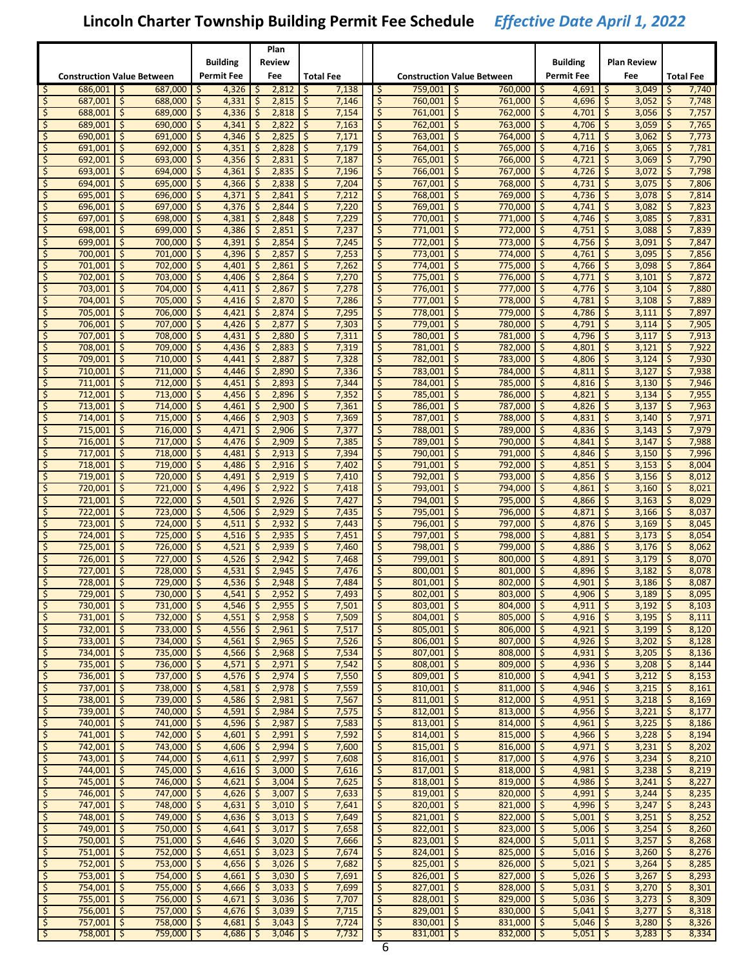|                   |                                   |     |                            |     |                          |            | Plan                     |                  |                |                               |                                   |     |                         |     |                   |                  |                            |          |                  |
|-------------------|-----------------------------------|-----|----------------------------|-----|--------------------------|------------|--------------------------|------------------|----------------|-------------------------------|-----------------------------------|-----|-------------------------|-----|-------------------|------------------|----------------------------|----------|------------------|
|                   |                                   |     |                            |     | Building                 |            | Review                   |                  |                |                               |                                   |     |                         |     | <b>Building</b>   |                  | Plan Review                |          |                  |
|                   | <b>Construction Value Between</b> |     |                            |     | <b>Permit Fee</b>        |            | Fee                      | <b>Total Fee</b> |                |                               | <b>Construction Value Between</b> |     |                         |     | <b>Permit Fee</b> |                  | Fee                        |          | <b>Total Fee</b> |
| \$                | 686,001                           | -Ś  | 687,000                    | -\$ | 4,326                    | \$.        | 2,812                    | -\$              | 7,138          | \$.                           | 759.001                           | - Ś | 760,000                 | -\$ | 4,691             | -S               | 3,049                      | -\$      | 7,740            |
| \$.               | 687,001                           | \$  | 688,000                    | \$  | 4,331                    | \$         | 2,815                    | \$               | 7,146          | \$                            | 760,001                           | \$  | 761,000                 | \$  | 4,696             | \$               | 3,052                      | \$       | 7,748            |
| \$                | 688,001                           | \$  | 689.000                    | \$  | 4,336                    | \$         | 2,818                    | -\$              | 7,154          | \$                            | 761,001                           | \$  | 762.000                 | \$  | 4,701             | \$               | 3,056                      | \$       | 7,757            |
| \$                | 689,001                           | \$  | 690,000                    | \$  | 4,341                    | \$         | 2,822                    | -\$              | 7,163          | \$                            | 762,001                           | \$  | 763,000                 | \$  | 4,706             | \$               | 3,059                      | \$       | 7,765            |
| \$                | 690,001                           | \$  | 691,000                    | \$  | 4,346                    | \$         | 2,825                    | \$               | 7,171          | \$                            | 763,001                           | \$  | 764,000                 | \$  | 4,711             | \$               | 3,062                      | \$       | 7,773            |
| \$                | 691,001                           | \$. | 692,000                    | \$  | 4,351                    | \$         | 2,828                    | -\$              | 7,179          | \$                            | 764,001                           | \$. | 765,000                 | \$  | 4,716             | \$               | 3,065                      | \$       | 7,781            |
| \$                | 692,001                           | \$. | 693,000                    | Ś   | 4,356                    | \$         | 2,831                    | \$               | 7,187          | \$                            | 765,001                           | \$  | 766,000                 | \$  | 4,721             | \$               | 3,069                      | \$       | 7,790            |
| \$                | 693.001                           | \$  | 694,000                    | \$  | 4,361                    | \$         | 2,835                    | \$               | 7,196          | \$                            | 766.001                           | \$  | 767,000                 | \$  | 4,726             | \$               | 3,072                      | \$       | 7,798            |
| \$                | 694,001                           | \$  | 695,000                    | \$  | 4,366                    | \$         | 2,838                    | ا \$             | 7,204          | \$                            | 767,001                           | \$  | 768,000                 | \$  | 4,731             | \$               | 3,075                      | \$       | 7,806            |
| \$                | 695,001                           | \$  | 696,000                    | \$  | 4,371                    | \$         | 2,841                    | -\$              | 7,212          | \$                            | 768,001                           | \$  | 769,000                 | \$  | 4,736             | \$               | 3,078                      | \$       | 7,814            |
| \$                | 696,001                           | \$. | 697,000                    | \$  | 4,376                    | \$         | 2,844                    | -\$              | 7,220          | \$                            | 769,001                           | \$. | 770,000                 | \$  | 4,741             | \$               | 3,082                      | \$       | 7,823            |
| \$                | 697,001                           | Ś.  | 698,000                    | Ś   | 4,381                    | \$         | 2,848                    | \$               | 7,229          | \$                            | 770,001                           | \$  | 771,000                 | \$  | 4,746             | \$               | 3,085                      | \$       | 7,831            |
| \$                | 698,001                           | \$  | 699,000                    | \$  | 4,386                    | \$         | 2,851                    | \$               | 7,237          | \$                            | 771,001                           | \$  | 772,000                 | \$  | 4,751             | \$               | 3,088                      | \$       | 7,839            |
| \$                | 699,001                           | \$  | 700,000                    | \$  | 4,391                    | \$         | 2,854                    | \$               | 7,245          | \$                            | 772,001                           | \$  | 773,000                 | \$  | 4,756             | \$               | 3,091                      | \$       | 7,847            |
| \$                | 700,001                           | \$  | 701,000                    | \$  | 4,396                    | \$         | 2,857                    | \$               | 7,253          | \$                            | 773,001                           | \$  | 774,000                 | \$  | 4,761             | \$               | 3,095                      | \$       | 7,856            |
| \$                | 701,001                           | \$. | 702,000                    | \$  | 4,401                    | \$         | 2,861                    | -\$              | 7,262          | \$                            | 774,001                           | \$. | 775,000                 | \$  | 4,766             | \$               | 3,098                      | \$       | 7,864            |
| \$                | 702,001                           | Ŝ.  | 703,000                    | Š.  | 4,406                    | \$         | 2,864                    | $\zeta$          | 7,270          | \$                            | 775,001                           | \$  | 776,000                 | \$  | 4,771             | \$               | 3,101                      | \$       | 7,872            |
| \$                | 703,001                           | \$  | 704,000                    | \$  | 4,411                    | \$         | 2,867                    | \$               | 7,278          | \$                            | 776,001                           | \$  | 777,000                 | \$  | 4,776             | \$               | 3,104                      | \$       | 7,880            |
| \$                | 704,001                           | \$  | 705,000                    | \$  | 4,416                    | \$         | 2,870                    | ا \$             | 7,286          | \$                            | 777,001                           | \$  | 778,000                 | \$  | 4,781             | \$               | 3,108                      | \$       | 7,889            |
| \$                | 705.001                           | \$  | 706,000                    | \$  | 4.421                    | \$         | 2,874                    | \$               | 7,295          | \$                            | 778,001                           | \$  | 779.000                 | \$  | 4,786             | \$               | 3,111                      | \$       | 7,897            |
| \$                | 706,001                           | \$. | 707.000                    | \$  | 4,426                    | \$         | 2,877                    | \$               | 7,303          | \$                            | 779,001                           | \$. | 780,000                 | \$  | 4,791             | \$               | 3,114                      | \$       | 7,905            |
| \$                | 707,001                           | Ŝ.  | 708,000                    | Ś   | 4,431                    | \$         | 2,880                    | \$               | 7,311          | \$                            | 780,001                           | \$  | 781,000                 | \$  | 4,796             | \$               | 3,117                      | \$       | 7,913            |
| \$                | 708,001                           | \$  | 709,000                    | \$  | 4,436                    | \$         | 2,883                    | \$               | 7,319          | \$                            | 781,001                           | \$  | 782,000                 | \$  | 4,801             | \$               | 3,121                      | \$       | 7,922            |
| \$                | 709,001                           | \$  | 710,000                    | \$  | 4,441                    | \$         | 2,887                    | \$               | 7,328          | \$                            | 782,001                           | \$  | 783,000                 | \$  | 4,806             | \$               | 3,124                      | \$       | 7,930            |
| \$                | 710,001                           | \$  | 711,000                    | \$  | 4,446                    | \$         | 2,890                    | \$               | 7,336          | \$                            | 783,001                           | \$  | 784,000                 | \$  | 4,811             | \$               | 3,127                      | \$       | 7,938            |
| \$                | 711,001                           | \$. | 712,000                    | \$  | 4,451                    | \$         | 2,893                    | -\$              | 7,344          | \$                            | 784,001                           | \$. | 785,000                 | \$  | 4,816             | \$               | 3,130                      | \$       | 7,946            |
| \$                | 712,001                           | Ŝ.  | 713,000                    | Ś   | 4,456                    | \$         | 2,896                    | \$               | 7,352          | \$                            | 785.001                           | \$  | 786,000                 | \$  | 4,821             | \$               | 3,134                      | Ś        | 7,955            |
| \$                | 713,001                           | \$  | 714,000                    | \$  | 4,461                    | \$         | 2,900                    | -\$              | 7,361          | \$                            | 786,001                           | \$  | 787,000                 | \$  | 4,826             | \$               | 3,137                      | \$       | 7,963            |
| \$                | 714,001                           | \$  | 715,000                    | \$  | 4,466                    | \$         | 2,903                    | -\$              | 7,369          | \$                            | 787,001                           | \$  | 788,000                 | \$  | 4,831             | \$               | 3,140                      | \$       | 7,971            |
| \$                | 715,001                           | \$  | 716,000                    | \$  | 4,471                    | \$         | 2,906                    | \$               | 7,377          | \$                            | 788,001                           | \$  | 789,000                 | \$  | 4,836             | \$               | 3,143                      | \$       | 7,979            |
| \$                | 716,001                           | \$. | 717,000                    | \$  | 4,476                    | \$         | 2,909                    | ۱\$              | 7,385          | \$                            | 789,001                           | \$  | 790,000                 | \$  | 4,841             | \$               | 3,147                      | \$       | 7,988            |
| \$                | 717,001                           | \$  | 718,000                    | \$  | 4,481                    | \$         | 2,913                    | -\$              | 7,394          | \$                            | 790,001                           | \$  | 791,000                 | \$  | 4,846             | \$               | 3,150                      | Ŝ.       | 7,996            |
| \$                | 718,001                           | \$  | 719,000                    | \$  | 4,486                    | \$         | 2,916                    | \$               | 7,402          | \$                            | 791,001                           | \$  | 792,000                 | \$  | 4,851             | \$               | 3,153                      | \$       | 8,004            |
| \$                | 719,001                           | \$  | 720,000                    | \$  | 4,491                    | \$         | 2,919                    | ا \$             | 7,410          | \$                            | 792,001                           | \$  | 793,000                 | \$  | 4,856             | \$               | 3,156                      | \$       | 8,012            |
| \$                | 720,001                           | \$  | 721,000                    | \$  | 4,496                    | \$         | 2,922                    | \$               | 7,418          | \$                            | 793,001                           | \$  | 794,000                 | \$  | 4,861             | \$               | 3,160                      | \$       | 8,021            |
| \$                | 721,001                           | \$. | 722,000                    | \$  | 4,501                    | \$         | 2,926                    | ۱\$              | 7,427          | \$                            | 794,001                           | \$  | 795,000                 | \$  | 4,866             | \$               | 3,163                      | \$       | 8,029            |
| \$                | 722,001                           | Ŝ.  | 723,000                    | \$  | 4,506                    | \$         | 2,929                    | -\$              | 7,435          | \$                            | 795,001                           | \$  | 796,000                 | \$  | 4,871             | \$               | 3,166                      | Ŝ.       | 8,037            |
| \$                | 723,001                           | \$  | 724,000                    | \$  | 4,511                    | \$         | 2,932                    | \$               | 7,443          | \$                            | 796,001                           | \$  | 797,000                 | \$  | 4,876             | \$               | 3,169                      | \$       | 8,045            |
| \$                | 724,001                           | \$  | 725,000                    | \$  | 4,516                    | \$         | 2,935                    | -\$              | 7,451          | \$                            | 797,001                           | \$  | 798,000                 | \$  | 4,881             | \$               | 3,173                      | \$       | 8,054            |
| \$                | 725,001                           | \$  | 726,000                    | \$  | 4,521                    | \$         | 2,939                    | \$               | 7,460          | \$                            | 798.001                           | \$  | 799,000                 | \$  | 4,886             | \$               | 3,176                      | \$       | 8,062            |
| \$                | 726,001                           | \$. | 727,000                    | \$  | 4,526                    | \$         | 2,942                    | \$               | 7,468          | \$                            | 799,001                           | \$  | 800,000                 | \$  | 4,891             | \$               | 3,179                      | \$       | 8,070            |
| \$                | 727,001                           | Ś.  | 728,000                    | Ś   | 4,531                    | \$.        | 2,945                    | -Ś               | 7,476          | \$                            | 800,001                           | \$  | 801,000                 | Ś   | 4,896             | Ś                | 3,182                      | Ś        | 8,078            |
| \$                | 728,001                           | \$  | 729,000                    | \$  | 4,536                    | \$         | 2,948                    | \$               | 7,484          | \$                            | 801,001                           | \$  | 802,000                 | Ś   | 4,901             | Ś                | 3,186                      | \$       | 8,087            |
|                   | 729,001 \$                        |     | 730,000 \$                 |     | $4,541$ \$               |            | $2,952$ \$               |                  | 7,493          |                               | 802,001 \$                        |     | 803,000 \$              |     | $4,906$ \$        |                  | $3,189$   \$               |          | 8,095            |
| \$                | 730,001 \$                        |     | $731,000$ \$               |     | $4,546$ \$               |            | $2,955$ \$               |                  | 7,501          | $\zeta$                       | 803,001 \$                        |     | $804,000$ \$            |     | $4,911$ \$        |                  | $3,192$   \$               |          | 8,103            |
| \$                | $731,001$ \$                      |     | $732,000$ \$               |     | $4,551$   \$             |            | $2,958$ \$               |                  | 7,509          | \$                            | $804,001$ \$                      |     | $805,000$ \$            |     | $4,916$ \$        |                  | $3,195$ \$                 |          | 8,111            |
| $\varsigma$       | $732,001$ \$                      |     | $733,000$ \$               |     | $4,556$ \$               |            | $2,961$   \$             |                  | 7,517          | $\overline{\mathsf{S}}$       | $805,001$ \$                      |     | 806,000                 | -\$ | 4,921             | $\mathbf{c}$     | $3,199$   \$               |          | 8,120            |
| \$                | $733,001$ \$                      |     | 734,000 \$                 |     | 4,561                    | <b>S</b>   | $2,965$ \$               |                  | 7,526          | \$                            | $806,001$ \$                      |     | 807,000                 | \$  | 4,926             | \$               | $3,202$   \$               |          | 8,128            |
| \$                | 734,001 \$                        |     | 735,000 \$                 |     | $4,566$ \$               |            | $2,968$ \$               |                  | 7,534          | \$                            | $807,001$ \$                      |     | 808,000 \$              |     | $4,931$ \$        |                  | $3,205$ \$                 |          | 8,136            |
| $\zeta$           | 735,001 \$                        |     | 736,000 \$                 |     | $4,571$ \$               |            | $2,971$   \$             |                  | 7,542          | \$                            | 808,001 \$                        |     | 809,000                 | \$  | 4,936             | \$               | 3,208                      | \$       | 8,144            |
| \$<br>$\varsigma$ | 736,001 \$<br>$737,001$ \$        |     | 737,000 \$<br>$738,000$ \$ |     | $4,576$ \$               | <b>S</b>   | $2,974$ \$<br>$2,978$ \$ |                  | 7,550          | \$<br>$\overline{\mathsf{S}}$ | $809,001$ \$<br>$810,001$ \$      |     | 810,000                 | \$  | 4,941             | \$               | $3,212$ \$<br>$3,215$ \$   |          | 8,153            |
|                   | 738,001 \$                        |     | 739,000 \$                 |     | 4,581                    |            |                          |                  | 7,559<br>7,567 |                               | $811,001$ \$                      |     | 811,000                 | \$  | 4,946             | $\frac{1}{2}$    |                            |          | 8,161            |
| \$                | 739,001 \$                        |     | 740,000 \$                 |     | $4,586$ \$<br>$4,591$ \$ |            | $2,981$ \$<br>$2,984$ \$ |                  | 7,575          | \$<br>\$                      | $812,001$ \$                      |     | 812,000<br>$813,000$ \$ | \$  | 4,951<br>4,956    | \$<br>$\sqrt{5}$ | $3,218$   \$<br>$3,221$ \$ |          | 8,169<br>8,177   |
| \$<br>\$          | 740,001 \$                        |     | $741,000$ \$               |     | $4,596$   \$             |            | $2,987$   \$             |                  | 7,583          | \$                            | $813,001$ \$                      |     | 814,000                 | \$  | 4,961             | \$               | 3,225                      | S.       | 8,186            |
| \$                | $741,001$ \$                      |     | 742,000 \$                 |     | $4,601$ \$               |            | $2,991$   \$             |                  | 7,592          | \$                            | $814,001$ \$                      |     | 815,000                 | \$  | 4,966             | \$               | $3,228$ \$                 |          | 8,194            |
| $\varsigma$       | $742,001$ \$                      |     | $743,000$ \$               |     | 4,606                    | l \$       | $2,994$ \$               |                  | 7,600          | $\overline{\mathsf{S}}$       | $815,001$ \$                      |     | 816,000                 | \$  | 4,971             | $\varsigma$      | $3,231$   \$               |          | 8,202            |
| \$                | $743,001$ \$                      |     | 744,000 \$                 |     | 4,611                    | $\sqrt{5}$ | $2,997$ \$               |                  | 7,608          | \$                            | $816,001$ \$                      |     | 817,000                 | \$  | 4,976             | \$               | 3,234                      | \$       | 8,210            |
| \$                | 744,001 \$                        |     | 745,000 \$                 |     | $4,616$ \$               |            | $3,000$ \$               |                  | 7,616          | \$                            | $817,001$ \$                      |     | 818,000 \$              |     | 4,981             | $\sqrt{5}$       | $3,238$ \$                 |          | 8,219            |
| \$                | 745,001 \$                        |     | 746,000 \$                 |     | $4,621$   \$             |            | $3,004$   \$             |                  | 7,625          | \$                            | $818,001$ \$                      |     | 819,000                 | \$  | 4,986             | \$               | 3,241                      | \$       | 8,227            |
| \$                | 746,001 \$                        |     | 747,000 \$                 |     | $4,626$ \$               |            | $3,007$   \$             |                  | 7,633          | \$                            | $819,001$ \$                      |     | 820,000                 | \$  | 4,991             | \$               | 3,244                      | \$       | 8,235            |
| $\varsigma$       | $747,001$ \$                      |     | $748,000$ \$               |     | $4,631$   \$             |            | $3,010$   \$             |                  | 7,641          | $\overline{\mathsf{S}}$       | $820,001$ \$                      |     | 821,000                 | \$  | 4,996             | $\mathsf{S}$     | 3,247                      | -\$      | 8,243            |
| \$                | $748,001$ \$                      |     | $749,000$ \$               |     | $4,636$ \$               |            | $3,013$   \$             |                  | 7,649          | \$                            | $821,001$ \$                      |     | 822,000                 | \$  | 5,001             | $\zeta$          | 3,251                      | \$       | 8,252            |
| \$                | 749,001 \$                        |     | 750,000 \$                 |     | $4,641$ \$               |            | $3,017$ \$               |                  | 7,658          | \$                            | $822,001$ \$                      |     | 823,000 \$              |     | $5,006$ \$        |                  | $3,254$ \$                 |          | 8,260            |
| \$                | $750,001$ \$                      |     | 751,000 \$                 |     | $4,646$   \$             |            | $3,020$   \$             |                  | 7,666          | \$                            | $823,001$ \$                      |     | 824,000                 | \$  | 5,011             | \$               | 3,257                      | -\$      | 8,268            |
| \$                | $751,001$ \$                      |     | 752,000 \$                 |     | $4,651$ \$               |            | $3,023$   \$             |                  | 7,674          | \$                            | $824,001$ \$                      |     | 825,000                 | \$  | 5,016             | \$               | 3,260                      | \$ ا     | 8,276            |
| $\varsigma$       | $752,001$ \$                      |     | $753,000$ \$               |     | $4,656$   \$             |            | $3,026$   \$             |                  | 7,682          | \$                            | $825,001$ \$                      |     | 826,000                 | -\$ | 5,021             | $\mathsf{S}$     | 3,264                      | -\$      | 8,285            |
| \$                | 753,001 \$                        |     | 754,000 \$                 |     | 4,661                    | $\zeta$    | $3,030$   \$             |                  | 7,691          | \$                            | $826,001$ \$                      |     | 827,000                 | \$  | 5,026             | \$               | 3,267                      | \$       | 8,293            |
| \$                | 754,001 \$                        |     | 755,000 \$                 |     | $4,666$   \$             |            | $3,033$   \$             |                  | 7,699          | \$                            | $827,001$ \$                      |     | 828,000 \$              |     | $5,031$ \$        |                  | $3,270$   \$               |          | 8,301            |
| \$                | 755,001 \$                        |     | 756,000 \$                 |     | $4,671$   \$             |            | $3,036$   \$             |                  | 7,707          | \$                            | $828,001$ \$                      |     | 829,000                 | -\$ | 5,036             | \$               | 3,273                      | -\$      | 8,309            |
| \$                | 756,001 \$                        |     | 757,000 \$                 |     | $4,676$   \$             |            | $3,039$   \$             |                  | 7,715          | $\ddot{\mathsf{S}}$           | $829,001$ \$                      |     | $830,000$ \$            |     | 5,041             | $\zeta$          | 3,277                      | <b>S</b> | 8,318            |
| \$                | $757,001$ \$                      |     | $758,000$ \$               |     | $4,681$   \$             |            | $3,043$   \$             |                  | 7,724          | $\mathsf{S}$                  | $830,001$ \$                      |     | $831,000$ \$            |     | 5,046             | $\mathsf{S}$     | $3,280$   \$               |          | 8,326            |
| \$                | $758,001$ \$                      |     | $759,000$ \$               |     | $4,686$ \$               |            | $3,046$ \$               |                  | 7,732          | $\sqrt{2}$                    | $831,001$ \$                      |     | $832,000$ \$            |     | $5,051$ \$        |                  | $3,283$   \$               |          | 8,334            |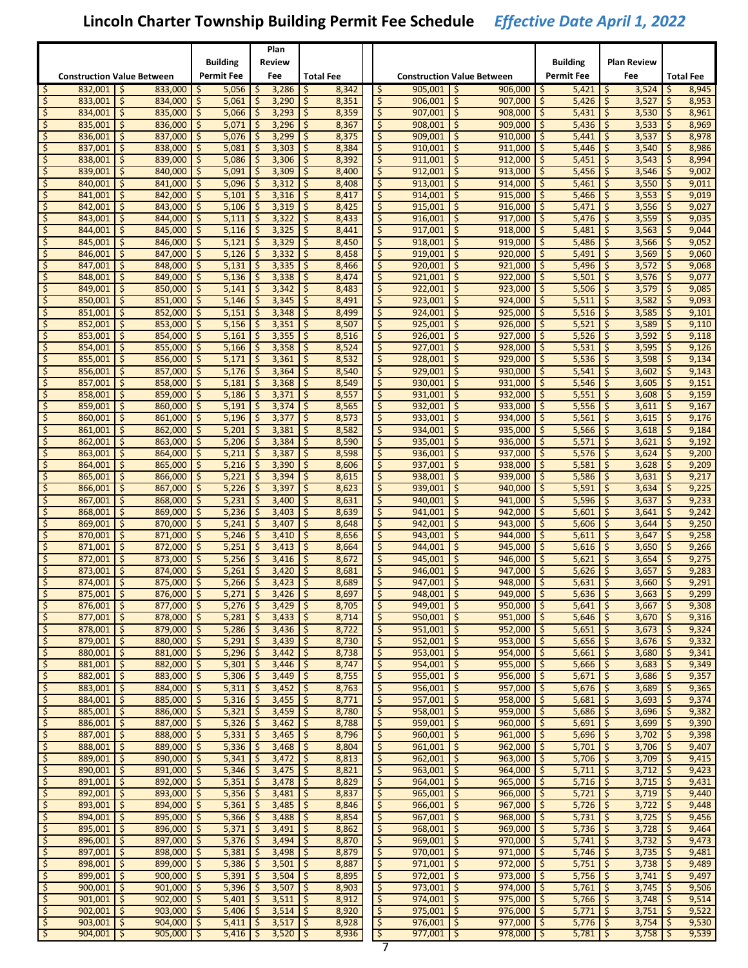|                          |                                   |           |                    |          |                       |               | Plan           |                  |                |                          |                          |                                   |                   |                       |            |                       |               |                  |
|--------------------------|-----------------------------------|-----------|--------------------|----------|-----------------------|---------------|----------------|------------------|----------------|--------------------------|--------------------------|-----------------------------------|-------------------|-----------------------|------------|-----------------------|---------------|------------------|
|                          |                                   |           |                    |          | <b>Building</b>       |               | Review         |                  |                |                          |                          |                                   | <b>Building</b>   |                       |            | Plan Review           |               |                  |
|                          | <b>Construction Value Between</b> |           |                    |          | <b>Permit Fee</b>     |               | Fee            | <b>Total Fee</b> |                |                          |                          | <b>Construction Value Between</b> | <b>Permit Fee</b> |                       |            | Fee                   |               | <b>Total Fee</b> |
| -\$                      | 832,001                           | \$.       | 833,000            | -S       | 5,056                 | \$            | 3,286          | -\$              | 8,342          | \$                       | 905,001                  | \$.<br>906,000                    | l \$              | 5,421                 | S.         | 3,524                 | S             | 8,945            |
| Ŝ.                       | 833,001                           | Ŝ.        | 834,000            | Ś        | 5,061                 | \$            | 3,290          | \$               | 8,351          |                          | \$<br>906,001            | Ś.<br>907,000                     | \$                | 5,426                 | \$         | 3,527                 | Ś             | 8,953            |
| \$.                      | 834,001                           | \$        | 835,000            | \$       | 5,066                 | \$            | 3,293          | \$               | 8,359          |                          | \$<br>907,001            | \$<br>908,000                     | \$                | 5,431                 | \$         | 3,530                 | \$            | 8,961            |
| Ś                        | 835,001                           | \$        | 836,000            | \$       | 5,071                 | \$            | 3,296          | \$               | 8,367          |                          | \$<br>908,001            | \$<br>909,000                     | \$                | 5,436                 | \$         | 3,533                 | \$            | 8,969            |
| Ś                        | 836,001                           | \$        | 837,000            | \$       | 5,076                 | \$            | 3,299          | \$               | 8,375          |                          | \$<br>909,001            | \$<br>910,000                     | \$                | 5,441                 | \$         | 3,537                 | \$            | 8,978            |
| S                        | 837,001                           | \$.       | 838,000            | \$       | 5,081                 | \$            | 3,303          | -\$              | 8,384          |                          | \$<br>910,001            | \$.<br>911,000                    | \$.               | 5,446                 | \$         | 3,540                 | \$            | 8,986            |
| \$                       | 838,001                           | Ŝ.        | 839,000            | \$       | 5,086                 | \$            | 3,306          | \$               | 8,392          |                          | \$<br>911,001            | Ŝ.<br>912,000                     | \$                | 5,451                 | \$         | 3,543                 | \$            | 8,994            |
| \$                       | 839,001                           | \$.       | 840,000            | \$       | 5,091                 | \$            | 3,309          | \$               | 8,400          |                          | \$<br>912,001            | \$<br>913,000                     | \$                | 5,456                 | \$         | 3,546                 | \$            | 9,002            |
| \$                       | 840,001                           | \$        | 841,000            | \$       | 5,096                 | \$            | 3,312          | \$               | 8,408          |                          | \$<br>913,001            | \$<br>914,000                     | \$                | 5,461                 | \$         | 3,550                 | Š.            | 9,011            |
| \$                       | 841.001                           | \$        | 842,000            | \$       | 5,101                 | \$            | 3,316          | \$               | 8,417          |                          | \$<br>914,001            | \$<br>915.000                     | \$                | 5,466                 | \$         | 3,553                 | \$            | 9,019            |
| S                        | 842,001                           | \$.       | 843,000            | \$       | 5,106                 | \$            | 3,319          | -\$              | 8,425          |                          | \$<br>915,001            | \$.<br>916,000                    | \$.               | 5,471                 | \$.        | 3,556                 | \$            | 9,027            |
| \$                       | 843,001                           | Ŝ.        | 844,000            | \$       | 5,111                 | \$            | 3,322          | \$               | 8,433          |                          | \$<br>916,001            | \$<br>917,000                     | \$                | 5,476                 | \$         | 3,559                 | \$            | 9,035            |
| $\varsigma$              | 844,001                           | \$.       | 845,000            | \$       | 5,116                 | \$            | 3,325          | \$               | 8,441          |                          | \$<br>917,001            | \$<br>918,000                     | \$                | 5,481                 | \$         | 3,563                 | \$            | 9,044            |
| \$                       | 845,001                           | \$        | 846,000            | \$       | 5,121                 | \$            | 3,329          | \$               | 8,450          |                          | \$<br>918,001            | \$<br>919,000                     | \$                | 5,486                 | \$         | 3,566                 | Š.            | 9,052            |
| \$                       | 846,001                           | \$        | 847,000            | \$       | 5,126                 | \$            | 3,332          | \$               | 8,458          |                          | \$<br>919,001            | \$<br>920,000                     | \$                | 5,491                 | \$         | 3,569                 | \$            | 9,060            |
| S                        | 847,001                           | \$.       | 848,000            | \$       | 5,131                 | \$            | 3,335          | -\$              | 8,466          |                          | \$<br>920,001            | \$.<br>921,000                    | \$.               | 5,496                 | \$.        | 3,572                 | \$            | 9,068            |
| \$                       | 848,001                           | Ŝ.        | 849,000            | \$       | 5,136                 | \$            | 3,338          | \$               | 8,474          |                          | \$<br>921,001            | \$<br>922,000                     | \$                | 5,501                 | \$         | 3,576                 | \$            | 9,077            |
| Š.                       | 849,001                           | \$.       | 850,000            | \$       | 5,141                 | \$            | 3,342          | \$               | 8,483          |                          | $\zeta$<br>922,001       | \$<br>923,000                     | \$                | 5,506                 | $\zeta$    | 3,579                 | \$            | 9,085            |
| \$                       | 850,001                           | \$        | 851,000            | \$       | 5,146                 | \$            | 3,345          | \$               | 8,491          |                          | \$<br>923,001            | \$<br>924,000                     | \$                | 5,511                 | \$         | 3,582                 | \$            | 9,093            |
| \$                       | 851,001                           | \$        | 852.000            | \$       | 5,151                 | \$            | 3,348          | \$               | 8,499          |                          | \$<br>924,001            | \$<br>925.000                     | \$                | 5,516                 | \$         | 3,585                 | \$            | 9,101            |
| S                        | 852,001                           | \$.       | 853,000            | \$       | 5,156                 | \$            | 3,351          | -\$              | 8,507          |                          | \$<br>925,001            | \$.<br>926,000                    | \$.               | 5,521                 | \$.        | 3,589                 | \$            | 9,110            |
| \$                       | 853,001                           | Ŝ.        | 854,000            | \$       | 5,161                 | \$            | 3,355          | \$               | 8,516          |                          | \$<br>926,001            | \$<br>927,000                     | \$                | 5,526                 | \$         | 3,592                 | \$            | 9,118            |
| \$                       | 854,001                           | \$.       | 855,000            | \$       | 5,166                 | \$            | 3,358          | \$               | 8,524          |                          | \$<br>927,001            | \$<br>928,000                     | \$                | 5,531                 | \$         | 3,595                 | \$            | 9,126            |
| \$                       | 855,001                           | \$        | 856,000            | \$       | 5,171                 | \$            | 3,361          | \$               | 8,532          |                          | \$<br>928,001            | \$<br>929,000                     | \$                | 5,536                 | \$         | 3,598                 | \$            | 9,134            |
| \$                       | 856.001                           | \$        | 857,000            | \$       | 5,176                 | \$            | 3,364          | \$               | 8,540          |                          | \$<br>929,001            | \$<br>930,000                     | \$                | 5,541                 | \$         | 3,602                 | \$            | 9,143            |
| S                        | 857,001                           | \$.       | 858,000            | \$       | 5,181                 | \$            | 3,368          | -\$              | 8,549          |                          | \$<br>930,001            | \$.<br>931,000                    | \$.               | 5,546                 | \$.        | 3,605                 | \$            | 9,151            |
| \$                       | 858,001                           | Ŝ.        | 859,000            | \$       | 5,186                 | \$            | 3,371          | \$               | 8,557          |                          | \$<br>931,001            | \$<br>932,000                     | \$                | 5,551                 | \$         | 3,608                 | Ś             | 9,159            |
| \$                       | 859,001                           | \$.       | 860,000            | \$       | 5,191                 | \$            | 3,374          | \$               | 8,565          |                          | \$<br>932,001            | \$<br>933,000                     | \$                | 5,556                 | \$         | 3,611                 | \$            | 9,167            |
| \$                       | 860,001                           | \$        | 861,000            | \$       | 5,196                 | \$            | 3,377          | \$               | 8,573          |                          | \$<br>933,001            | \$<br>934,000                     | \$                | 5,561                 | \$         | 3,615                 | \$            | 9,176            |
| \$                       | 861,001                           | \$        | 862,000            | \$       | 5,201                 | \$            | 3,381          | \$               | 8,582          |                          | \$<br>934,001            | \$<br>935,000                     | \$                | 5,566                 | \$         | 3,618                 | \$            | 9,184            |
| S                        | 862,001                           | \$.       | 863,000            | -\$      | 5,206                 | \$            | 3,384          | -\$              | 8,590          |                          | \$<br>935,001            | \$.<br>936,000                    | \$.               | 5,571                 | \$.        | 3,621                 | \$            | 9,192            |
| \$                       | 863,001                           | Ŝ         | 864,000            | \$       | 5,211                 | \$            | 3,387          | \$               | 8,598          |                          | \$<br>936,001            | \$<br>937,000                     | \$                | 5,576                 | \$         | 3,624                 | \$            | 9,200            |
| \$                       | 864,001                           | \$.       | 865,000            | \$       | 5,216                 | \$            | 3,390          | \$               | 8,606          |                          | \$<br>937,001            | \$<br>938,000                     | \$                | 5,581                 | \$         | 3,628                 | \$            | 9,209            |
| \$                       | 865,001                           | \$        | 866,000            | \$       | 5,221                 | \$            | 3,394          | \$               | 8,615          |                          | \$<br>938,001            | \$<br>939,000                     | \$                | 5,586                 | \$         | 3,631                 | \$            | 9,217            |
| \$                       | 866,001                           | \$        | 867,000            | \$       | 5,226                 | \$            | 3,397          | \$               | 8,623          |                          | \$<br>939,001            | \$<br>940,000                     | \$                | 5,591                 | \$         | 3,634                 | \$            | 9,225            |
| S                        | 867,001                           | \$.       | 868,000            | -\$      | 5,231                 | \$            | 3,400          | -\$              | 8,631          |                          | \$<br>940,001            | \$.<br>941,000                    | \$.               | 5,596                 | \$.        | 3,637                 | \$            | 9,233            |
| \$                       | 868,001                           | Ŝ         | 869,000            | \$       | 5,236                 | \$            | 3,403          | \$               | 8,639          |                          | \$<br>941,001            | \$<br>942,000                     | \$                | 5,601                 | \$         | 3,641                 | Ŝ             | 9,242            |
| \$                       | 869,001                           | \$.       | 870,000            | \$       | 5,241                 | \$            | 3,407          | \$               | 8,648          |                          | \$<br>942,001            | \$<br>943.000                     | \$                | 5,606                 | \$         | 3,644                 | \$            | 9,250            |
| Ś                        | 870,001<br>871.001                | \$        | 871,000            | \$       | 5,246                 | \$            | 3,410          | \$               | 8,656          |                          | \$<br>943,001<br>944.001 | \$<br>944.000<br>\$               | \$                | 5,611                 | \$         | 3,647                 | \$<br>\$      | 9,258            |
| \$<br>S                  | 872,001                           | \$<br>\$. | 872,000<br>873,000 | \$<br>\$ | 5,251<br>5,256        | \$<br>\$      | 3,413<br>3,416 | \$<br>-\$        | 8,664<br>8,672 |                          | \$<br>\$<br>945,001      | 945,000<br>\$.<br>946,000         | \$<br>\$.         | 5,616<br>5,621        | \$<br>\$   | 3,650<br>3,654        | \$            | 9,266<br>9,275   |
| Ŝ                        | 873,001                           | Ŝ         | 874.000            |          | 5,261                 | Ś             | 3,420          | Ś                | 8,681          |                          | \$<br>946,001            | Ś.<br>947.000                     | Ś                 | 5,626                 | Ś          | 3,657                 |               | 9,283            |
| \$                       | 874,001                           | \$        | 875,000            | \$       | 5,266                 | \$            | 3,423          | Ś                | 8,689          |                          | \$<br>947,001            | \$<br>948,000                     | \$                | 5,631                 | \$         | 3,660                 | Ś             | 9,291            |
|                          | $875,001$ \$                      |           | $876,000$ \$       |          | $5,271$ \$            |               | $3,426$ \$     |                  | 8,697          |                          | $948,001$ \$             | $949,000$ \$                      |                   | $5,636$ \$            |            | $3,663$ \$            |               | 9,299            |
| $\sqrt{5}$               | 876,001 \$                        |           | 877,000 \$         |          | 5,276                 | $\frac{1}{2}$ | $3,429$ \$     |                  | 8,705          |                          | $\zeta$<br>$949,001$ \$  | $950,000$ \$                      |                   | 5,641                 | $\sqrt{5}$ | 3,667                 | $\frac{1}{2}$ | 9,308            |
| S.                       | $877,001$ \$                      |           | 878,000 \$         |          | $5,281$ \$            |               | $3,433$ \$     |                  | 8,714          | \$                       | $950,001$ \$             | $951,000$ \$                      |                   | $5,646$   \$          |            | $3,670$   \$          |               | 9,316            |
| $\overline{\mathcal{L}}$ | $878,001$ \$                      |           | 879,000            | \$       | $5,286$   \$          |               | $3,436$ \$     |                  | 8,722          | $\ddot{\mathsf{S}}$      | $951,001$ \$             | $952,000$ \$                      |                   | $5,651$ $\frac{1}{5}$ |            | 3,673                 | S.            | 9,324            |
| $\ddot{\mathsf{S}}$      | 879,001 \$                        |           | 880,000 \$         |          | $5,291$   \$          |               | $3,439$ \$     |                  | 8,730          | $\frac{1}{2}$            | $952,001$ \$             | $953,000$ \$                      |                   | $5,656$   \$          |            | 3,676                 | S.            | 9,332            |
| -\$                      | 880,001 \$                        |           | 881,000 \$         |          | 5,296                 | \$            | $3,442$ \$     |                  | 8,738          | \$                       | $953,001$ \$             | $954,000$ \$                      |                   | $5,661$ \$            |            | 3,680                 | \$            | 9,341            |
| $\frac{1}{2}$            | 881,001                           | \$        | 882,000            | \$       | 5,301                 | \$            | $3,446$   \$   |                  | 8,747          |                          | \$<br>$954,001$ \$       | $955,000$ \$                      |                   | 5,666                 | \$         | 3,683                 | \$.           | 9,349            |
| $\sqrt{5}$               | $882,001$ \$                      |           | 883,000 \$         |          | $5,306$ \$            |               | $3,449$ \$     |                  | 8,755          |                          | $\zeta$<br>$955,001$ \$  | $956,000$ \$                      |                   | $5,671$ \$            |            | 3,686                 | S.            | 9,357            |
| $\overline{\mathcal{L}}$ | $883,001$ \$                      |           | 884,000            | \$       | $5,311$ \$            |               | $3,452$ \$     |                  | 8,763          | $\varsigma$              | $956,001$ \$             | $957,000$ \$                      |                   | $5,676$ \$            |            | 3,689                 | \$            | 9,365            |
| $\sqrt{ }$               | 884,001 \$                        |           | $885,000$ \$       |          | $5,316$ \$            |               | $3,455$ \$     |                  | 8,771          | $\frac{1}{2}$            | $957,001$ \$             | $958,000$ \$                      |                   | 5,681                 | $\zeta$    | 3,693                 | S.            | 9,374            |
| $\ddot{\mathsf{S}}$      | 885,001 \$                        |           | 886,000 \$         |          | $5,321$ \$            |               | $3,459$ \$     |                  | 8,780          | \$                       | $958,001$ \$             | $959,000$ \$                      |                   | $5,686$ \$            |            | 3,696                 | \$            | 9,382            |
| $\frac{1}{2}$            | 886,001 \$                        |           | 887,000            | \$       | $5,326$   \$          |               | $3,462$   \$   |                  | 8,788          |                          | \$<br>$959,001$ \$       | $960,000$ \$                      |                   | 5,691                 | \$         | 3,699                 | \$            | 9,390            |
| $\sqrt{5}$               | $887,001$ \$                      |           | 888,000 \$         |          | $5,331$ \$            |               | $3,465$   \$   |                  | 8,796          |                          | $\zeta$<br>$960,001$ \$  | $961,000$ \$                      |                   | $5,696$ \$            |            | 3,702                 | S.            | 9,398            |
| $\overline{\mathcal{L}}$ | $888,001$ \$                      |           | 889,000            | \$       | $5,336$ \$            |               | $3,468$ \$     |                  | 8,804          | $\varsigma$              | $961,001$ \$             | $962,000$ \$                      |                   | $5,701$ \$            |            | 3,706                 | \$            | 9,407            |
| $\ddot{\mathsf{S}}$      | 889,001 \$                        |           | $890,000$ \$       |          | $5,341$ \$            |               | $3,472$ \$     |                  | 8,813          | $\frac{1}{2}$            | $962,001$ \$             | $963,000$ \$                      |                   | $5,706$   \$          |            | $3,709$ \$            |               | 9,415            |
| $\ddot{\mathsf{S}}$      | 890,001 \$                        |           | $891,000$ \$       |          | $5,346$ \$            |               | $3,475$ \$     |                  | 8,821          | \$                       | $963,001$ \$             | $964,000$ \$                      |                   | $5,711$ \$            |            | 3,712                 | \$            | 9,423            |
| $\zeta$                  | 891,001                           | \$        | 892,000            | \$       | $5,351$   \$          |               | $3,478$   \$   |                  | 8,829          |                          | $\zeta$<br>$964,001$ \$  | $965,000$ \$                      |                   | $5,716$ $\frac{1}{5}$ |            | $3,715$ $\frac{1}{5}$ |               | 9,431            |
| $\sqrt{5}$               | $892,001$ \$                      |           | 893,000 \$         |          | $5,356$ \$            |               | $3,481$   \$   |                  | 8,837          |                          | $\zeta$<br>$965,001$ \$  | $966,000$ \$                      |                   | $5,721$ \$            |            | $3,719$   \$          |               | 9,440            |
| \$                       | $893,001$ \$                      |           | 894,000            | \$       | 5,361                 | $\zeta$       | $3,485$ \$     |                  | 8,846          | $\varsigma$              | $966,001$ \$             | $967,000$ \$                      |                   | $5,726$ \$            |            | 3,722                 | l \$          | 9,448            |
| $\ddot{\mathsf{S}}$      | $894,001$ \$                      |           | $895,000$ \$       |          | $5,366$ \$            |               | $3,488$ \$     |                  | 8,854          | $\frac{1}{2}$            | $967,001$ \$             | $968,000$ \$                      |                   | $5,731$   \$          |            | $3,725$ \$            |               | 9,456            |
| $\ddot{\mathsf{S}}$      | $895,001$ \$                      |           | 896,000 \$         |          | $5,371$ \$            |               | $3,491$ \$     |                  | 8,862          | \$                       | $968,001$ \$             | $969,000$ \$                      |                   | $5,736$ \$            |            | 3,728                 | \$ ا          | 9,464            |
| $\overline{\mathcal{L}}$ | $896,001$ \$                      |           | 897,000            | \$       | $5,376$ \$            |               | $3,494$   \$   |                  | 8,870          |                          | $\zeta$<br>$969,001$ \$  | $970,000$ \$                      |                   | $5,741$   \$          |            | 3,732                 | $\mathsf{S}$  | 9,473            |
| $\sqrt{5}$               | $897,001$ \$                      |           | 898,000 \$         |          | $5,381$ \$            |               | $3,498$   \$   |                  | 8,879          |                          | $\zeta$<br>$970,001$ \$  | $971,000$ \$                      |                   | $5,746$ \$            |            | $3,735$ \$            |               | 9,481            |
| \$                       | $898,001$ \$                      |           | 899,000            | \$       | 5,386                 | -\$           | $3,501$ \$     |                  | 8,887          | $\ddot{\mathsf{S}}$      | $971,001$ \$             | $972,000$ \$                      |                   | $5,751$ \$            |            | 3,738                 | \$            | 9,489            |
| \$                       | 899,001 \$                        |           | $900,000$ \$       |          | $5,391$ \$            |               | $3,504$ \$     |                  | 8,895          | $\sqrt{ }$               | $972,001$ \$             | $973,000$ \$                      |                   | $5,756$ $\frac{1}{5}$ |            | 3,741                 | -\$           | 9,497            |
| $\sqrt{2}$               | $900,001$ \$                      |           | $901,000$ \$       |          | 5,396                 | \$            | $3,507$ \$     |                  | 8,903          | \$                       | $973,001$ \$             | $974,000$ \$                      |                   | $5,761$ \$            |            | 3,745                 | \$ ا          | 9,506            |
| $\overline{\mathcal{L}}$ | $901,001$ \$                      |           | $902,000$ \$       |          | $5,401$ \$            |               | $3,511$   \$   |                  | 8,912          | $\ddot{\mathsf{S}}$      | $974,001$ \$             | $975,000$ \$                      |                   | $5,766$   \$          |            | 3,748                 | $\mathsf{S}$  | 9,514            |
| $\sqrt{5}$               | $902,001$ \$                      |           | $903,000$ \$       |          | $5,406$ \$            |               | $3,514$ \$     |                  | 8,920          | $\sqrt{5}$               | $975,001$ \$             | $976,000$ \$                      |                   | $5,771$ \$            |            | $3,751$ \$            |               | 9,522            |
| \$                       | $903,001$ \$                      |           | $904,000$ \$       |          | $5,411$ $\frac{1}{5}$ |               | $3,517$ \$     |                  | 8,928          | ाड                       | $976,001$ \$             | $977,000$ \$<br>$978,000$ \$      |                   | $5,776$ \$            |            | $3,754$ \$            |               | 9,530            |
| $\varsigma$              | $904,001$ \$                      |           | $905,000$ \$       |          | $5,416$ \$            |               | $3,520$ \$     |                  | 8,936          | $\overline{\phantom{a}}$ | $977,001$ \$             |                                   |                   | $5,781$ \$            |            | $3,758$ \$            |               | 9,539            |